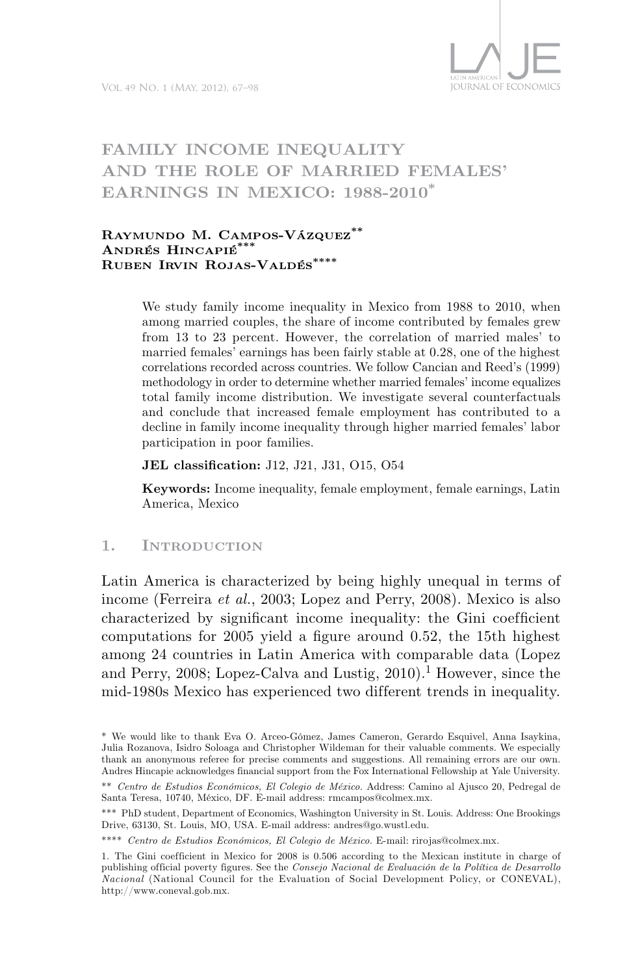

# **Family income inequality and the role of married females' earnings in Mexico: 1988-2010\***

### **Raymundo M. Campos-Vázquez\*\* Andrés Hincapié\*\*\* Ruben Irvin Rojas-Valdés\*\*\*\***

We study family income inequality in Mexico from 1988 to 2010, when among married couples, the share of income contributed by females grew from 13 to 23 percent. However, the correlation of married males' to married females' earnings has been fairly stable at 0.28, one of the highest correlations recorded across countries. We follow Cancian and Reed's (1999) methodology in order to determine whether married females' income equalizes total family income distribution. We investigate several counterfactuals and conclude that increased female employment has contributed to a decline in family income inequality through higher married females' labor participation in poor families.

**JEL classification:** J12, J21, J31, O15, O54

**Keywords:** Income inequality, female employment, female earnings, Latin America, Mexico

### **1. Introduction**

Latin America is characterized by being highly unequal in terms of income (Ferreira *et al.*, 2003; Lopez and Perry, 2008). Mexico is also characterized by significant income inequality: the Gini coefficient computations for 2005 yield a figure around 0.52, the 15th highest among 24 countries in Latin America with comparable data (Lopez and Perry, 2008; Lopez-Calva and Lustig,  $2010$ ).<sup>1</sup> However, since the mid-1980s Mexico has experienced two different trends in inequality.

<sup>\*</sup> We would like to thank Eva O. Arceo-Gómez, James Cameron, Gerardo Esquivel, Anna Isaykina, Julia Rozanova, Isidro Soloaga and Christopher Wildeman for their valuable comments. We especially thank an anonymous referee for precise comments and suggestions. All remaining errors are our own. Andres Hincapie acknowledges financial support from the Fox International Fellowship at Yale University.

<sup>\*\*</sup> *Centro de Estudios Económicos, El Colegio de México.* Address: Camino al Ajusco 20, Pedregal de Santa Teresa, 10740, México, DF. E-mail address: rmcampos@colmex.mx.

<sup>\*\*\*</sup> PhD student, Department of Economics, Washington University in St. Louis. Address: One Brookings Drive, 63130, St. Louis, MO, USA. E-mail address: andres@go.wustl.edu.

<sup>\*\*\*\*</sup> *Centro de Estudios Económicos, El Colegio de México.* E-mail: rirojas@colmex.mx.

<sup>1.</sup> The Gini coefficient in Mexico for 2008 is 0.506 according to the Mexican institute in charge of publishing of ficial poverty figures. See the *Consejo Nacional de Evaluación de la Política de Desarrollo Nacional* (National Council for the Evaluation of Social Development Policy, or CONEVAL), http://www.coneval.gob.mx.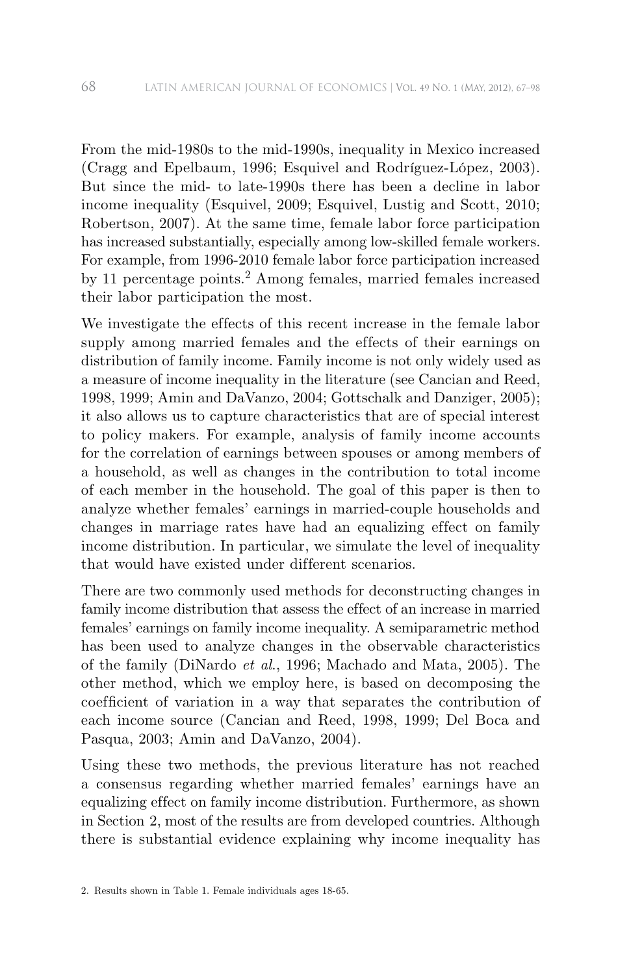From the mid-1980s to the mid-1990s, inequality in Mexico increased (Cragg and Epelbaum, 1996; Esquivel and Rodríguez-López, 2003). But since the mid- to late-1990s there has been a decline in labor income inequality (Esquivel, 2009; Esquivel, Lustig and Scott, 2010; Robertson, 2007). At the same time, female labor force participation has increased substantially, especially among low-skilled female workers. For example, from 1996-2010 female labor force participation increased by 11 percentage points.2 Among females, married females increased their labor participation the most.

We investigate the effects of this recent increase in the female labor supply among married females and the effects of their earnings on distribution of family income. Family income is not only widely used as a measure of income inequality in the literature (see Cancian and Reed, 1998, 1999; Amin and DaVanzo, 2004; Gottschalk and Danziger, 2005); it also allows us to capture characteristics that are of special interest to policy makers. For example, analysis of family income accounts for the correlation of earnings between spouses or among members of a household, as well as changes in the contribution to total income of each member in the household. The goal of this paper is then to analyze whether females' earnings in married-couple households and changes in marriage rates have had an equalizing effect on family income distribution. In particular, we simulate the level of inequality that would have existed under different scenarios.

There are two commonly used methods for deconstructing changes in family income distribution that assess the effect of an increase in married females' earnings on family income inequality. A semiparametric method has been used to analyze changes in the observable characteristics of the family (DiNardo *et al*., 1996; Machado and Mata, 2005). The other method, which we employ here, is based on decomposing the coefficient of variation in a way that separates the contribution of each income source (Cancian and Reed, 1998, 1999; Del Boca and Pasqua, 2003; Amin and DaVanzo, 2004).

Using these two methods, the previous literature has not reached a consensus regarding whether married females' earnings have an equalizing effect on family income distribution. Furthermore, as shown in Section 2, most of the results are from developed countries. Although there is substantial evidence explaining why income inequality has

<sup>2.</sup> Results shown in Table 1. Female individuals ages 18-65.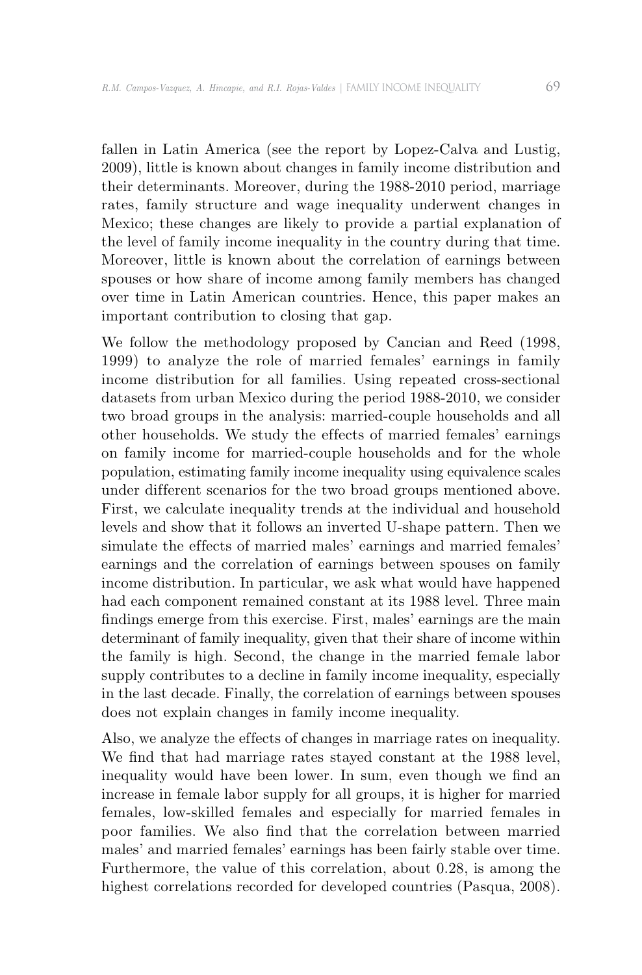fallen in Latin America (see the report by Lopez-Calva and Lustig, 2009), little is known about changes in family income distribution and their determinants. Moreover, during the 1988-2010 period, marriage rates, family structure and wage inequality underwent changes in Mexico; these changes are likely to provide a partial explanation of the level of family income inequality in the country during that time. Moreover, little is known about the correlation of earnings between spouses or how share of income among family members has changed over time in Latin American countries. Hence, this paper makes an important contribution to closing that gap.

We follow the methodology proposed by Cancian and Reed (1998, 1999) to analyze the role of married females' earnings in family income distribution for all families. Using repeated cross-sectional datasets from urban Mexico during the period 1988-2010, we consider two broad groups in the analysis: married-couple households and all other households. We study the effects of married females' earnings on family income for married-couple households and for the whole population, estimating family income inequality using equivalence scales under different scenarios for the two broad groups mentioned above. First, we calculate inequality trends at the individual and household levels and show that it follows an inverted U-shape pattern. Then we simulate the effects of married males' earnings and married females' earnings and the correlation of earnings between spouses on family income distribution. In particular, we ask what would have happened had each component remained constant at its 1988 level. Three main findings emerge from this exercise. First, males' earnings are the main determinant of family inequality, given that their share of income within the family is high. Second, the change in the married female labor supply contributes to a decline in family income inequality, especially in the last decade. Finally, the correlation of earnings between spouses does not explain changes in family income inequality.

Also, we analyze the effects of changes in marriage rates on inequality. We find that had marriage rates stayed constant at the 1988 level, inequality would have been lower. In sum, even though we find an increase in female labor supply for all groups, it is higher for married females, low-skilled females and especially for married females in poor families. We also find that the correlation between married males' and married females' earnings has been fairly stable over time. Furthermore, the value of this correlation, about 0.28, is among the highest correlations recorded for developed countries (Pasqua, 2008).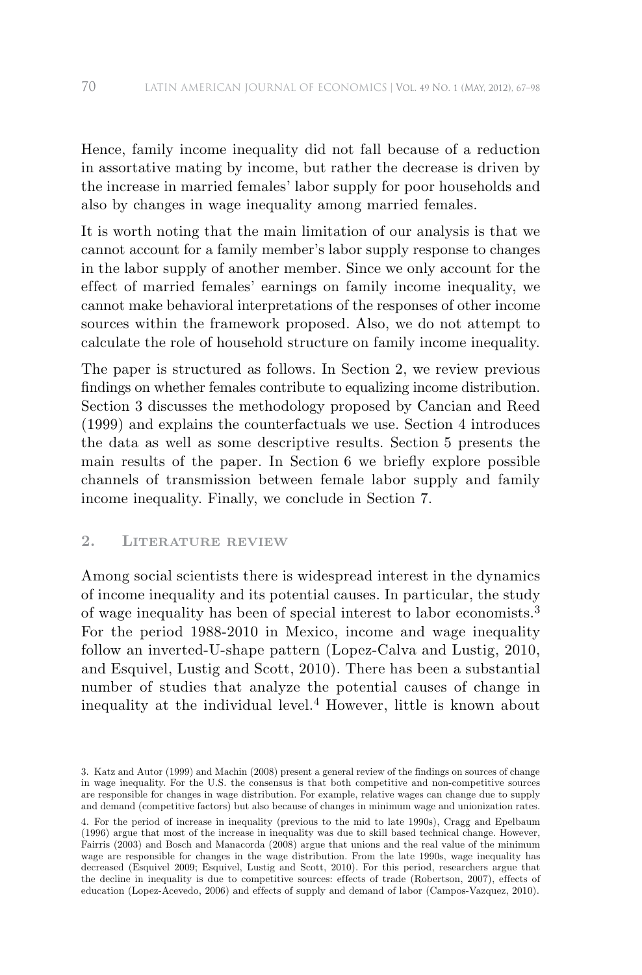Hence, family income inequality did not fall because of a reduction in assortative mating by income, but rather the decrease is driven by the increase in married females' labor supply for poor households and also by changes in wage inequality among married females.

It is worth noting that the main limitation of our analysis is that we cannot account for a family member's labor supply response to changes in the labor supply of another member. Since we only account for the effect of married females' earnings on family income inequality, we cannot make behavioral interpretations of the responses of other income sources within the framework proposed. Also, we do not attempt to calculate the role of household structure on family income inequality.

The paper is structured as follows. In Section 2, we review previous findings on whether females contribute to equalizing income distribution. Section 3 discusses the methodology proposed by Cancian and Reed (1999) and explains the counterfactuals we use. Section 4 introduces the data as well as some descriptive results. Section 5 presents the main results of the paper. In Section 6 we briefly explore possible channels of transmission between female labor supply and family income inequality. Finally, we conclude in Section 7.

# **2. Literature review**

Among social scientists there is widespread interest in the dynamics of income inequality and its potential causes. In particular, the study of wage inequality has been of special interest to labor economists.<sup>3</sup> For the period 1988-2010 in Mexico, income and wage inequality follow an inverted-U-shape pattern (Lopez-Calva and Lustig, 2010, and Esquivel, Lustig and Scott, 2010). There has been a substantial number of studies that analyze the potential causes of change in inequality at the individual level.4 However, little is known about

<sup>3.</sup> Katz and Autor (1999) and Machin (2008) present a general review of the findings on sources of change in wage inequality. For the U.S. the consensus is that both competitive and non-competitive sources are responsible for changes in wage distribution. For example, relative wages can change due to supply and demand (competitive factors) but also because of changes in minimum wage and unionization rates.

<sup>4.</sup> For the period of increase in inequality (previous to the mid to late 1990s), Cragg and Epelbaum (1996) argue that most of the increase in inequality was due to skill based technical change. However, Fairris (2003) and Bosch and Manacorda (2008) argue that unions and the real value of the minimum wage are responsible for changes in the wage distribution. From the late 1990s, wage inequality has decreased (Esquivel 2009; Esquivel, Lustig and Scott, 2010). For this period, researchers argue that the decline in inequality is due to competitive sources: effects of trade (Robertson, 2007), effects of education (Lopez-Acevedo, 2006) and effects of supply and demand of labor (Campos-Vazquez, 2010).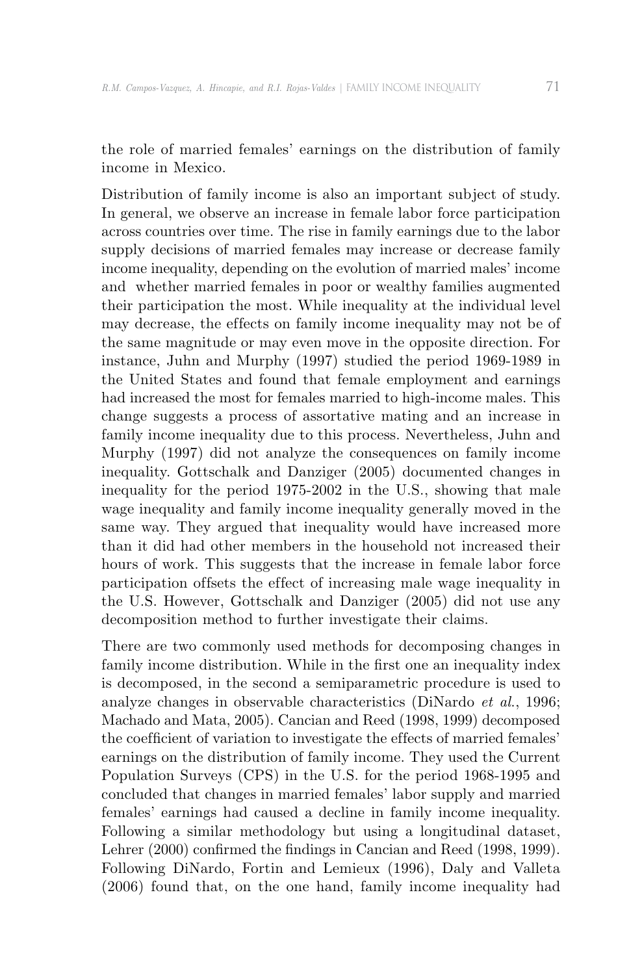the role of married females' earnings on the distribution of family income in Mexico.

Distribution of family income is also an important subject of study. In general, we observe an increase in female labor force participation across countries over time. The rise in family earnings due to the labor supply decisions of married females may increase or decrease family income inequality, depending on the evolution of married males' income and whether married females in poor or wealthy families augmented their participation the most. While inequality at the individual level may decrease, the effects on family income inequality may not be of the same magnitude or may even move in the opposite direction. For instance, Juhn and Murphy (1997) studied the period 1969-1989 in the United States and found that female employment and earnings had increased the most for females married to high-income males. This change suggests a process of assortative mating and an increase in family income inequality due to this process. Nevertheless, Juhn and Murphy (1997) did not analyze the consequences on family income inequality. Gottschalk and Danziger (2005) documented changes in inequality for the period 1975-2002 in the U.S., showing that male wage inequality and family income inequality generally moved in the same way. They argued that inequality would have increased more than it did had other members in the household not increased their hours of work. This suggests that the increase in female labor force participation offsets the effect of increasing male wage inequality in the U.S. However, Gottschalk and Danziger (2005) did not use any decomposition method to further investigate their claims.

There are two commonly used methods for decomposing changes in family income distribution. While in the first one an inequality index is decomposed, in the second a semiparametric procedure is used to analyze changes in observable characteristics (DiNardo *et al*., 1996; Machado and Mata, 2005). Cancian and Reed (1998, 1999) decomposed the coefficient of variation to investigate the effects of married females' earnings on the distribution of family income. They used the Current Population Surveys (CPS) in the U.S. for the period 1968-1995 and concluded that changes in married females' labor supply and married females' earnings had caused a decline in family income inequality. Following a similar methodology but using a longitudinal dataset, Lehrer (2000) confirmed the findings in Cancian and Reed (1998, 1999). Following DiNardo, Fortin and Lemieux (1996), Daly and Valleta (2006) found that, on the one hand, family income inequality had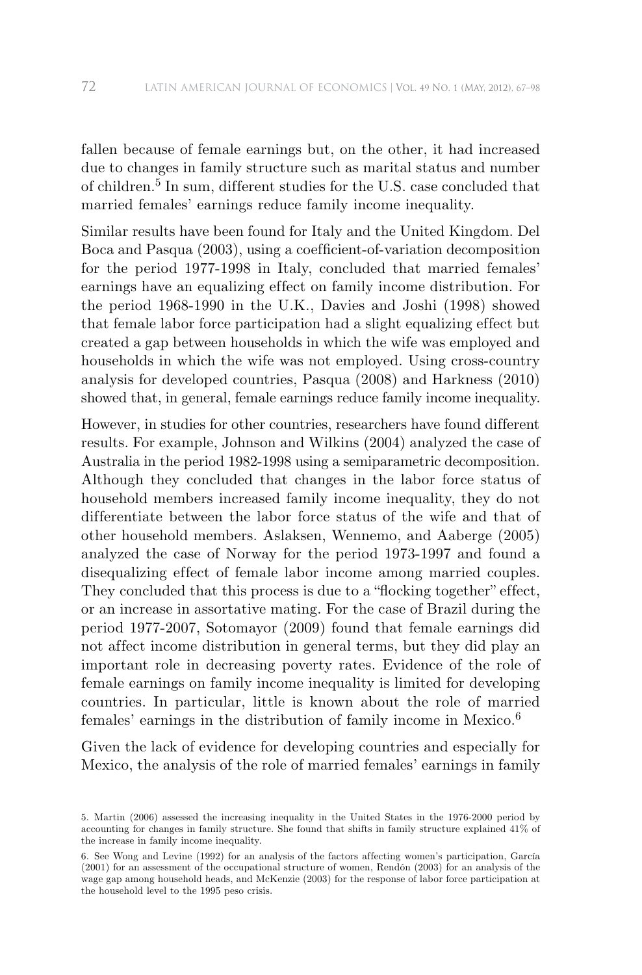fallen because of female earnings but, on the other, it had increased due to changes in family structure such as marital status and number of children.<sup>5</sup> In sum, different studies for the U.S. case concluded that married females' earnings reduce family income inequality.

Similar results have been found for Italy and the United Kingdom. Del Boca and Pasqua (2003), using a coefficient-of-variation decomposition for the period 1977-1998 in Italy, concluded that married females' earnings have an equalizing effect on family income distribution. For the period 1968-1990 in the U.K., Davies and Joshi (1998) showed that female labor force participation had a slight equalizing effect but created a gap between households in which the wife was employed and households in which the wife was not employed. Using cross-country analysis for developed countries, Pasqua (2008) and Harkness (2010) showed that, in general, female earnings reduce family income inequality.

However, in studies for other countries, researchers have found different results. For example, Johnson and Wilkins (2004) analyzed the case of Australia in the period 1982-1998 using a semiparametric decomposition. Although they concluded that changes in the labor force status of household members increased family income inequality, they do not differentiate between the labor force status of the wife and that of other household members. Aslaksen, Wennemo, and Aaberge (2005) analyzed the case of Norway for the period 1973-1997 and found a disequalizing effect of female labor income among married couples. They concluded that this process is due to a "flocking together" effect, or an increase in assortative mating. For the case of Brazil during the period 1977-2007, Sotomayor (2009) found that female earnings did not affect income distribution in general terms, but they did play an important role in decreasing poverty rates. Evidence of the role of female earnings on family income inequality is limited for developing countries. In particular, little is known about the role of married females' earnings in the distribution of family income in Mexico.<sup>6</sup>

Given the lack of evidence for developing countries and especially for Mexico, the analysis of the role of married females' earnings in family

<sup>5.</sup> Martin (2006) assessed the increasing inequality in the United States in the 1976-2000 period by accounting for changes in family structure. She found that shifts in family structure explained 41% of the increase in family income inequality.

<sup>6.</sup> See Wong and Levine (1992) for an analysis of the factors af fecting women's participation, García (2001) for an assessment of the occupational structure of women, Rendón (2003) for an analysis of the wage gap among household heads, and McKenzie (2003) for the response of labor force participation at the household level to the 1995 peso crisis.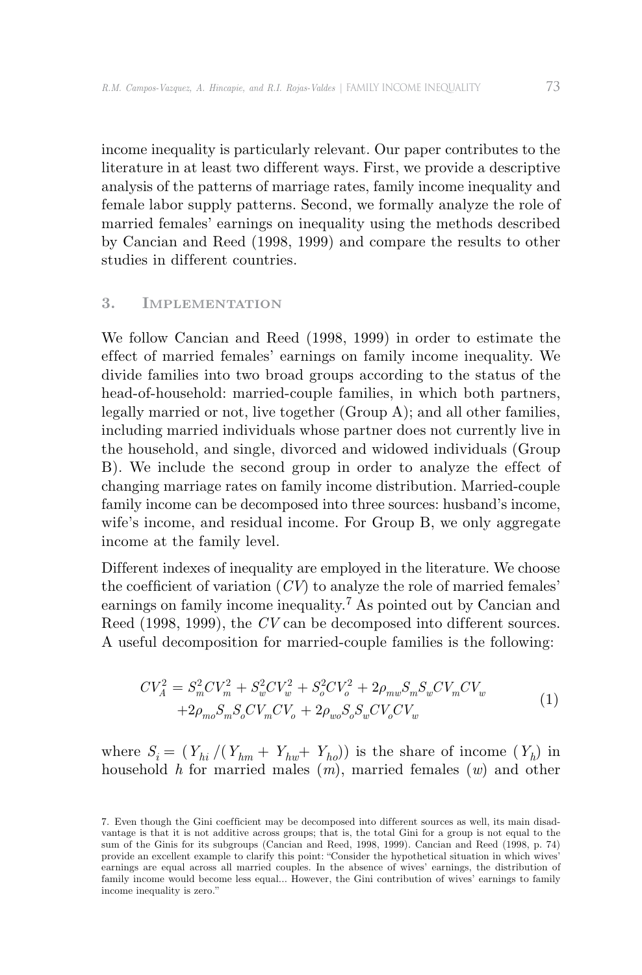income inequality is particularly relevant. Our paper contributes to the literature in at least two different ways. First, we provide a descriptive analysis of the patterns of marriage rates, family income inequality and female labor supply patterns. Second, we formally analyze the role of married females' earnings on inequality using the methods described by Cancian and Reed (1998, 1999) and compare the results to other studies in different countries.

# **3. Implementation**

We follow Cancian and Reed (1998, 1999) in order to estimate the effect of married females' earnings on family income inequality. We divide families into two broad groups according to the status of the head-of-household: married-couple families, in which both partners, legally married or not, live together (Group A); and all other families, including married individuals whose partner does not currently live in the household, and single, divorced and widowed individuals (Group B). We include the second group in order to analyze the effect of changing marriage rates on family income distribution. Married-couple family income can be decomposed into three sources: husband's income, wife's income, and residual income. For Group B, we only aggregate income at the family level.

Different indexes of inequality are employed in the literature. We choose the coefficient of variation  $(CV)$  to analyze the role of married females' earnings on family income inequality.7 As pointed out by Cancian and Reed (1998, 1999), the *CV* can be decomposed into different sources. A useful decomposition for married-couple families is the following:

$$
CV_A^2 = S_m^2 CV_m^2 + S_w^2 CV_w^2 + S_o^2 CV_o^2 + 2\rho_{mw} S_m S_w CV_m CV_w + 2\rho_{mo} S_m S_o CV_w CV_v + 2\rho_{wo} S_o S_w CV_o CV_w
$$
\n
$$
(1)
$$

where  $S_i = (Y_{hi} / (Y_{hm} + Y_{hw} + Y_{ho}))$  is the share of income  $(Y_h)$  in household *h* for married males (*m*), married females (*w*) and other

<sup>7.</sup> Even though the Gini coefficient may be decomposed into different sources as well, its main disadvantage is that it is not additive across groups; that is, the total Gini for a group is not equal to the sum of the Ginis for its subgroups (Cancian and Reed, 1998, 1999). Cancian and Reed (1998, p. 74) provide an excellent example to clarify this point: "Consider the hypothetical situation in which wives' earnings are equal across all married couples. In the absence of wives' earnings, the distribution of family income would become less equal... However, the Gini contribution of wives' earnings to family income inequality is zero."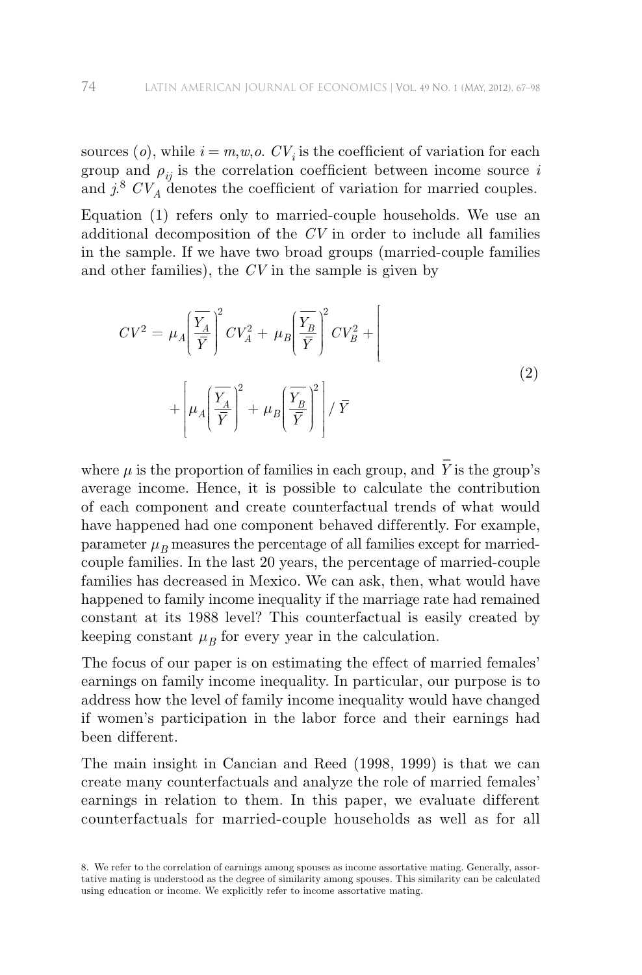sources  $(o)$ , while  $i = m, w, o$ .  $CV_i$  is the coefficient of variation for each group and  $\rho_{ij}$  is the correlation coefficient between income source *i* and  $j^8$   $CV_A$  denotes the coefficient of variation for married couples.

Equation (1) refers only to married-couple households. We use an additional decomposition of the *CV* in order to include all families in the sample. If we have two broad groups (married-couple families and other families), the *CV* in the sample is given by

$$
CV^2 = \mu_A \left(\frac{\overline{Y_A}}{\overline{Y}}\right)^2 CV_A^2 + \mu_B \left(\frac{\overline{Y_B}}{\overline{Y}}\right)^2 CV_B^2 + \left[\mu_A \left(\frac{\overline{Y_A}}{\overline{Y}}\right)^2 + \mu_B \left(\frac{\overline{Y_B}}{\overline{Y}}\right)^2\right] / \overline{Y}
$$
\n(2)

where  $\mu$  is the proportion of families in each group, and  $\bar{Y}$  is the group's average income. Hence, it is possible to calculate the contribution of each component and create counterfactual trends of what would have happened had one component behaved differently. For example, parameter  $\mu_B$  measures the percentage of all families except for marriedcouple families. In the last 20 years, the percentage of married-couple families has decreased in Mexico. We can ask, then, what would have happened to family income inequality if the marriage rate had remained constant at its 1988 level? This counterfactual is easily created by keeping constant  $\mu_B$  for every year in the calculation.

The focus of our paper is on estimating the effect of married females' earnings on family income inequality. In particular, our purpose is to address how the level of family income inequality would have changed if women's participation in the labor force and their earnings had been different.

The main insight in Cancian and Reed (1998, 1999) is that we can create many counterfactuals and analyze the role of married females' earnings in relation to them. In this paper, we evaluate different counterfactuals for married-couple households as well as for all

<sup>8.</sup> We refer to the correlation of earnings among spouses as income assortative mating. Generally, assortative mating is understood as the degree of similarity among spouses. This similarity can be calculated using education or income. We explicitly refer to income assortative mating.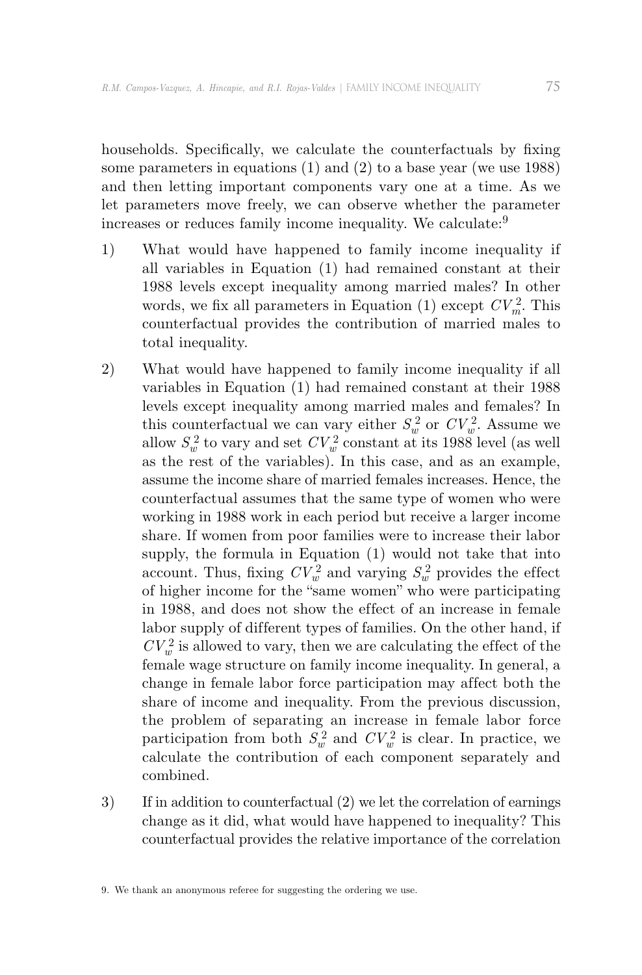households. Specifically, we calculate the counterfactuals by fixing some parameters in equations (1) and (2) to a base year (we use 1988) and then letting important components vary one at a time. As we let parameters move freely, we can observe whether the parameter increases or reduces family income inequality. We calculate:<sup>9</sup>

- 1) What would have happened to family income inequality if all variables in Equation (1) had remained constant at their 1988 levels except inequality among married males? In other words, we fix all parameters in Equation (1) except  $CV<sub>m</sub><sup>2</sup>$ . This counterfactual provides the contribution of married males to total inequality.
- 2) What would have happened to family income inequality if all variables in Equation (1) had remained constant at their 1988 levels except inequality among married males and females? In this counterfactual we can vary either  $S_w^2$  or  $CV_w^2$ . Assume we allow  $S_w^2$  to vary and set  $CV_w^2$  constant at its 1988 level (as well as the rest of the variables). In this case, and as an example, assume the income share of married females increases. Hence, the counterfactual assumes that the same type of women who were working in 1988 work in each period but receive a larger income share. If women from poor families were to increase their labor supply, the formula in Equation (1) would not take that into account. Thus, fixing  $CV_w^2$  and varying  $S_w^2$  provides the effect of higher income for the "same women" who were participating in 1988, and does not show the effect of an increase in female labor supply of different types of families. On the other hand, if  $CV_w^2$  is allowed to vary, then we are calculating the effect of the female wage structure on family income inequality. In general, a change in female labor force participation may affect both the share of income and inequality. From the previous discussion, the problem of separating an increase in female labor force participation from both  $S_w^2$  and  $CV_w^2$  is clear. In practice, we calculate the contribution of each component separately and combined.
- 3) If in addition to counterfactual (2) we let the correlation of earnings change as it did, what would have happened to inequality? This counterfactual provides the relative importance of the correlation

<sup>9.</sup> We thank an anonymous referee for suggesting the ordering we use.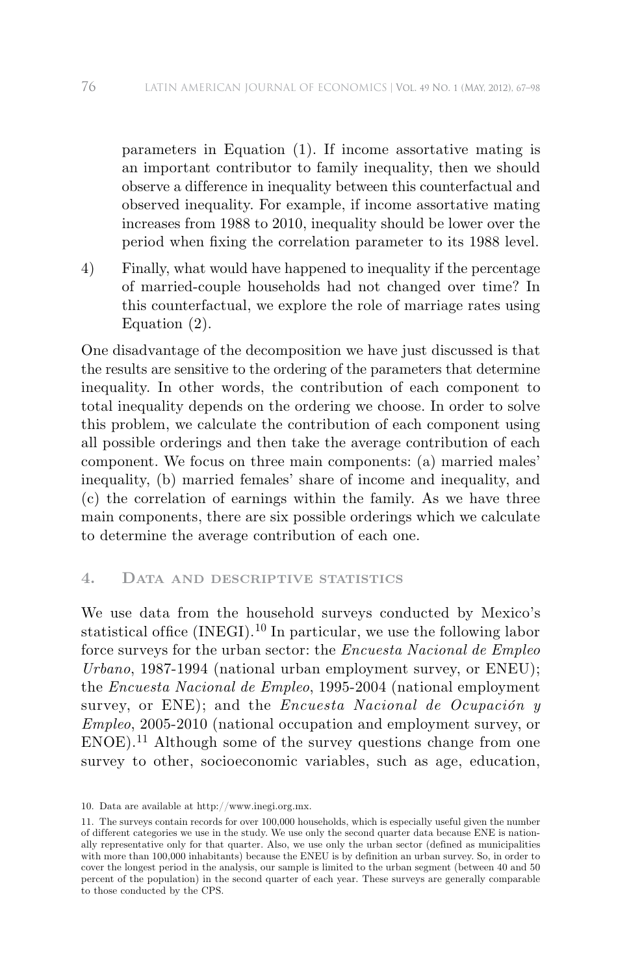parameters in Equation (1). If income assortative mating is an important contributor to family inequality, then we should observe a difference in inequality between this counterfactual and observed inequality. For example, if income assortative mating increases from 1988 to 2010, inequality should be lower over the period when fixing the correlation parameter to its 1988 level.

4) Finally, what would have happened to inequality if the percentage of married-couple households had not changed over time? In this counterfactual, we explore the role of marriage rates using Equation (2).

One disadvantage of the decomposition we have just discussed is that the results are sensitive to the ordering of the parameters that determine inequality. In other words, the contribution of each component to total inequality depends on the ordering we choose. In order to solve this problem, we calculate the contribution of each component using all possible orderings and then take the average contribution of each component. We focus on three main components: (a) married males' inequality, (b) married females' share of income and inequality, and (c) the correlation of earnings within the family. As we have three main components, there are six possible orderings which we calculate to determine the average contribution of each one.

# **4. Data and descriptive statistics**

We use data from the household surveys conducted by Mexico's statistical office  $(INEGI)$ <sup>10</sup> In particular, we use the following labor force surveys for the urban sector: the *Encuesta Nacional de Empleo Urbano*, 1987-1994 (national urban employment survey, or ENEU); the *Encuesta Nacional de Empleo*, 1995-2004 (national employment survey, or ENE); and the *Encuesta Nacional de Ocupación y Empleo*, 2005-2010 (national occupation and employment survey, or ENOE).<sup>11</sup> Although some of the survey questions change from one survey to other, socioeconomic variables, such as age, education,

<sup>10.</sup> Data are available at http://www.inegi.org.mx.

<sup>11.</sup> The surveys contain records for over 100,000 households, which is especially useful given the number of dif ferent categories we use in the study. We use only the second quarter data because ENE is nationally representative only for that quarter. Also, we use only the urban sector (defined as municipalities with more than 100,000 inhabitants) because the ENEU is by definition an urban survey. So, in order to cover the longest period in the analysis, our sample is limited to the urban segment (between 40 and 50 percent of the population) in the second quarter of each year. These surveys are generally comparable to those conducted by the CPS.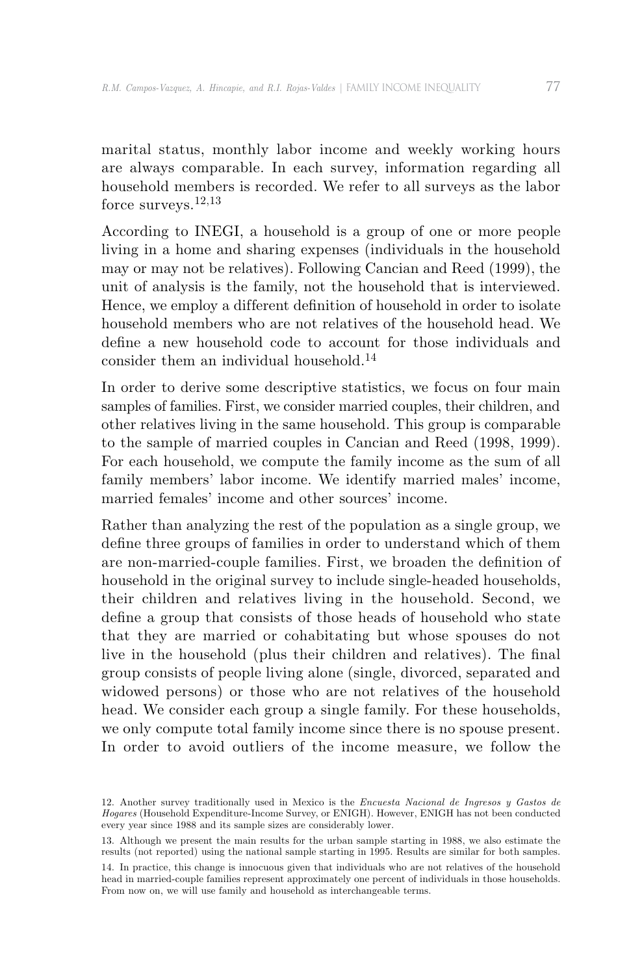marital status, monthly labor income and weekly working hours are always comparable. In each survey, information regarding all household members is recorded. We refer to all surveys as the labor force surveys.12,13

According to INEGI, a household is a group of one or more people living in a home and sharing expenses (individuals in the household may or may not be relatives). Following Cancian and Reed (1999), the unit of analysis is the family, not the household that is interviewed. Hence, we employ a different definition of household in order to isolate household members who are not relatives of the household head. We define a new household code to account for those individuals and consider them an individual household.<sup>14</sup>

In order to derive some descriptive statistics, we focus on four main samples of families. First, we consider married couples, their children, and other relatives living in the same household. This group is comparable to the sample of married couples in Cancian and Reed (1998, 1999). For each household, we compute the family income as the sum of all family members' labor income. We identify married males' income, married females' income and other sources' income.

Rather than analyzing the rest of the population as a single group, we define three groups of families in order to understand which of them are non-married-couple families. First, we broaden the definition of household in the original survey to include single-headed households, their children and relatives living in the household. Second, we define a group that consists of those heads of household who state that they are married or cohabitating but whose spouses do not live in the household (plus their children and relatives). The final group consists of people living alone (single, divorced, separated and widowed persons) or those who are not relatives of the household head. We consider each group a single family. For these households, we only compute total family income since there is no spouse present. In order to avoid outliers of the income measure, we follow the

<sup>12.</sup> Another survey traditionally used in Mexico is the *Encuesta Nacional de Ingresos y Gastos de Hogares* (Household Expenditure-Income Survey, or ENIGH). However, ENIGH has not been conducted every year since 1988 and its sample sizes are considerably lower.

<sup>13.</sup> Although we present the main results for the urban sample starting in 1988, we also estimate the results (not reported) using the national sample starting in 1995. Results are similar for both samples.

<sup>14.</sup> In practice, this change is innocuous given that individuals who are not relatives of the household head in married-couple families represent approximately one percent of individuals in those households. From now on, we will use family and household as interchangeable terms.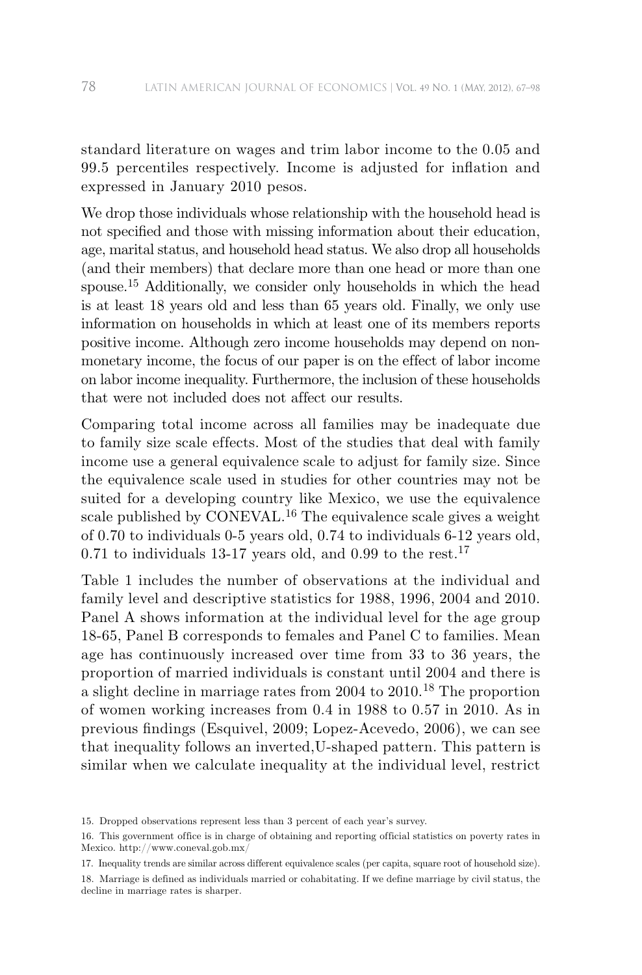standard literature on wages and trim labor income to the 0.05 and 99.5 percentiles respectively. Income is adjusted for inflation and expressed in January 2010 pesos.

We drop those individuals whose relationship with the household head is not specified and those with missing information about their education, age, marital status, and household head status. We also drop all households (and their members) that declare more than one head or more than one spouse.<sup>15</sup> Additionally, we consider only households in which the head is at least 18 years old and less than 65 years old. Finally, we only use information on households in which at least one of its members reports positive income. Although zero income households may depend on nonmonetary income, the focus of our paper is on the effect of labor income on labor income inequality. Furthermore, the inclusion of these households that were not included does not affect our results.

Comparing total income across all families may be inadequate due to family size scale effects. Most of the studies that deal with family income use a general equivalence scale to adjust for family size. Since the equivalence scale used in studies for other countries may not be suited for a developing country like Mexico, we use the equivalence scale published by CONEVAL.<sup>16</sup> The equivalence scale gives a weight of 0.70 to individuals 0-5 years old, 0.74 to individuals 6-12 years old, 0.71 to individuals 13-17 years old, and 0.99 to the rest.<sup>17</sup>

Table 1 includes the number of observations at the individual and family level and descriptive statistics for 1988, 1996, 2004 and 2010. Panel A shows information at the individual level for the age group 18-65, Panel B corresponds to females and Panel C to families. Mean age has continuously increased over time from 33 to 36 years, the proportion of married individuals is constant until 2004 and there is a slight decline in marriage rates from 2004 to 2010.18 The proportion of women working increases from 0.4 in 1988 to 0.57 in 2010. As in previous findings (Esquivel, 2009; Lopez-Acevedo, 2006), we can see that inequality follows an inverted,U-shaped pattern. This pattern is similar when we calculate inequality at the individual level, restrict

<sup>15.</sup> Dropped observations represent less than 3 percent of each year's survey.

<sup>16.</sup> This government office is in charge of obtaining and reporting official statistics on poverty rates in Mexico. http://www.coneval.gob.mx/

<sup>17.</sup> Inequality trends are similar across different equivalence scales (per capita, square root of household size).

<sup>18.</sup> Marriage is defined as individuals married or cohabitating. If we define marriage by civil status, the decline in marriage rates is sharper.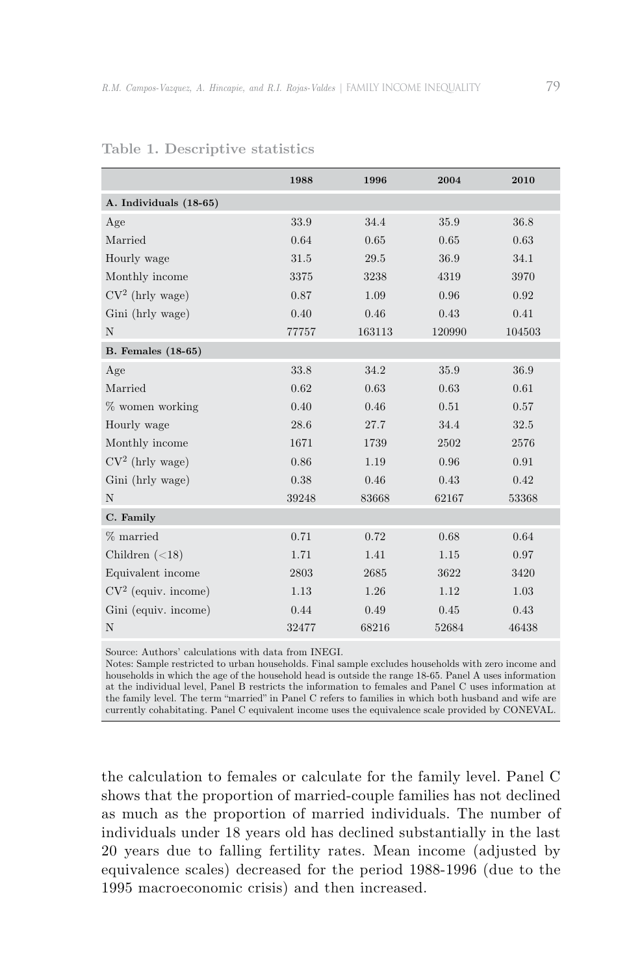|                           | 1988  | 1996   | 2004   | 2010   |
|---------------------------|-------|--------|--------|--------|
| A. Individuals (18-65)    |       |        |        |        |
| Age                       | 33.9  | 34.4   | 35.9   | 36.8   |
| Married                   | 0.64  | 0.65   | 0.65   | 0.63   |
| Hourly wage               | 31.5  | 29.5   | 36.9   | 34.1   |
| Monthly income            | 3375  | 3238   | 4319   | 3970   |
| $CV2$ (hrly wage)         | 0.87  | 1.09   | 0.96   | 0.92   |
| Gini (hrly wage)          | 0.40  | 0.46   | 0.43   | 0.41   |
| N                         | 77757 | 163113 | 120990 | 104503 |
| <b>B.</b> Females (18-65) |       |        |        |        |
| Age                       | 33.8  | 34.2   | 35.9   | 36.9   |
| Married                   | 0.62  | 0.63   | 0.63   | 0.61   |
| % women working           | 0.40  | 0.46   | 0.51   | 0.57   |
| Hourly wage               | 28.6  | 27.7   | 34.4   | 32.5   |
| Monthly income            | 1671  | 1739   | 2502   | 2576   |
| $CV2$ (hrly wage)         | 0.86  | 1.19   | 0.96   | 0.91   |
| Gini (hrly wage)          | 0.38  | 0.46   | 0.43   | 0.42   |
| $\mathbf N$               | 39248 | 83668  | 62167  | 53368  |
| C. Family                 |       |        |        |        |
| % married                 | 0.71  | 0.72   | 0.68   | 0.64   |
| Children $(<18)$          | 1.71  | 1.41   | 1.15   | 0.97   |
| Equivalent income         | 2803  | 2685   | 3622   | 3420   |
| $CV2$ (equiv. income)     | 1.13  | 1.26   | 1.12   | 1.03   |
| Gini (equiv. income)      | 0.44  | 0.49   | 0.45   | 0.43   |
| N                         | 32477 | 68216  | 52684  | 46438  |

#### **Table 1. Descriptive statistics**

Source: Authors' calculations with data from INEGI.

Notes: Sample restricted to urban households. Final sample excludes households with zero income and households in which the age of the household head is outside the range 18-65. Panel A uses information at the individual level, Panel B restricts the information to females and Panel C uses information at the family level. The term "married" in Panel C refers to families in which both husband and wife are currently cohabitating. Panel C equivalent income uses the equivalence scale provided by CONEVAL.

the calculation to females or calculate for the family level. Panel C shows that the proportion of married-couple families has not declined as much as the proportion of married individuals. The number of individuals under 18 years old has declined substantially in the last 20 years due to falling fertility rates. Mean income (adjusted by equivalence scales) decreased for the period 1988-1996 (due to the 1995 macroeconomic crisis) and then increased.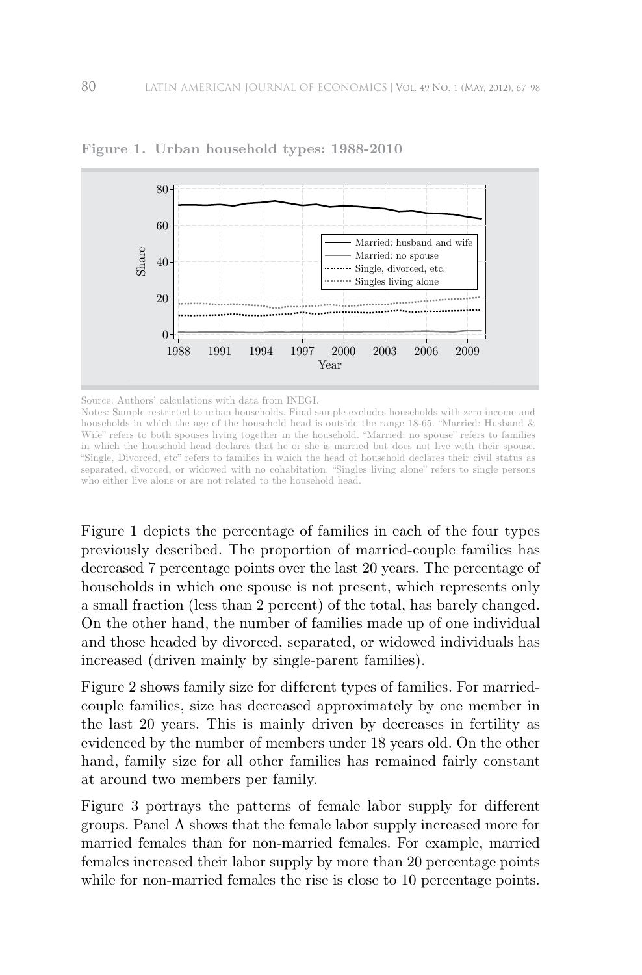

**Figure 1. Urban household types: 1988-2010**

Source: Authors' calculations with data from INEGI.

Notes: Sample restricted to urban households. Final sample excludes households with zero income and households in which the age of the household head is outside the range 18-65. "Married: Husband  $\&$ Wife" refers to both spouses living together in the household. "Married: no spouse" refers to families in which the household head declares that he or she is married but does not live with their spouse. "Single, Divorced, etc" refers to families in which the head of household declares their civil status as separated, divorced, or widowed with no cohabitation. "Singles living alone" refers to single persons who either live alone or are not related to the household head.

Figure 1 depicts the percentage of families in each of the four types previously described. The proportion of married-couple families has decreased 7 percentage points over the last 20 years. The percentage of households in which one spouse is not present, which represents only a small fraction (less than 2 percent) of the total, has barely changed. On the other hand, the number of families made up of one individual and those headed by divorced, separated, or widowed individuals has increased (driven mainly by single-parent families).

Figure 2 shows family size for different types of families. For marriedcouple families, size has decreased approximately by one member in the last 20 years. This is mainly driven by decreases in fertility as evidenced by the number of members under 18 years old. On the other hand, family size for all other families has remained fairly constant at around two members per family.

Figure 3 portrays the patterns of female labor supply for different groups. Panel A shows that the female labor supply increased more for married females than for non-married females. For example, married females increased their labor supply by more than 20 percentage points while for non-married females the rise is close to 10 percentage points.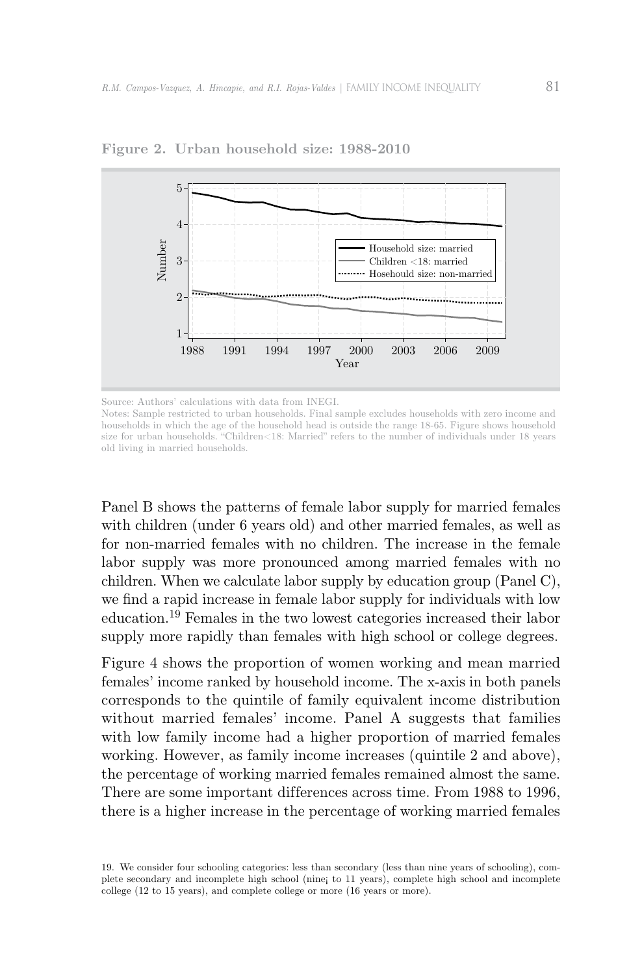

**Figure 2. Urban household size: 1988-2010**

Panel B shows the patterns of female labor supply for married females with children (under 6 years old) and other married females, as well as for non-married females with no children. The increase in the female labor supply was more pronounced among married females with no children. When we calculate labor supply by education group (Panel C), we find a rapid increase in female labor supply for individuals with low education.19 Females in the two lowest categories increased their labor supply more rapidly than females with high school or college degrees.

Figure 4 shows the proportion of women working and mean married females' income ranked by household income. The x-axis in both panels corresponds to the quintile of family equivalent income distribution without married females' income. Panel A suggests that families with low family income had a higher proportion of married females working. However, as family income increases (quintile 2 and above), the percentage of working married females remained almost the same. There are some important differences across time. From 1988 to 1996, there is a higher increase in the percentage of working married females

19. We consider four schooling categories: less than secondary (less than nine years of schooling), complete secondary and incomplete high school (nine¡ to 11 years), complete high school and incomplete college (12 to 15 years), and complete college or more (16 years or more).

Source: Authors' calculations with data from INEGI.

Notes: Sample restricted to urban households. Final sample excludes households with zero income and households in which the age of the household head is outside the range 18-65. Figure shows household size for urban households. "Children<18: Married" refers to the number of individuals under 18 years old living in married households.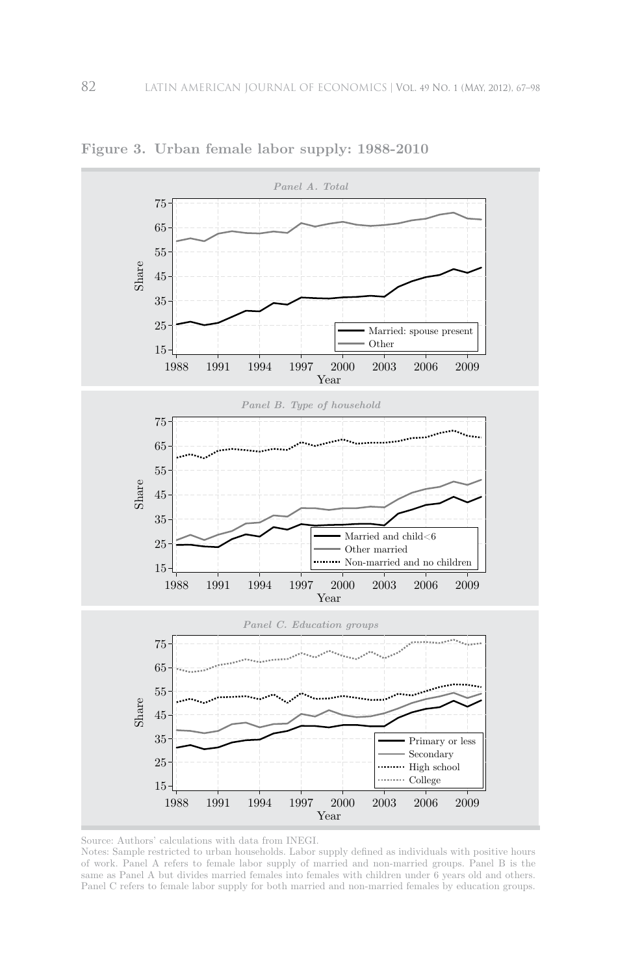

**Figure 3. Urban female labor supply: 1988-2010**

Notes: Sample restricted to urban households. Labor supply defined as individuals with positive hours of work. Panel A refers to female labor supply of married and non-married groups. Panel B is the same as Panel A but divides married females into females with children under 6 years old and others. Panel C refers to female labor supply for both married and non-married females by education groups.

Source: Authors' calculations with data from INEGI.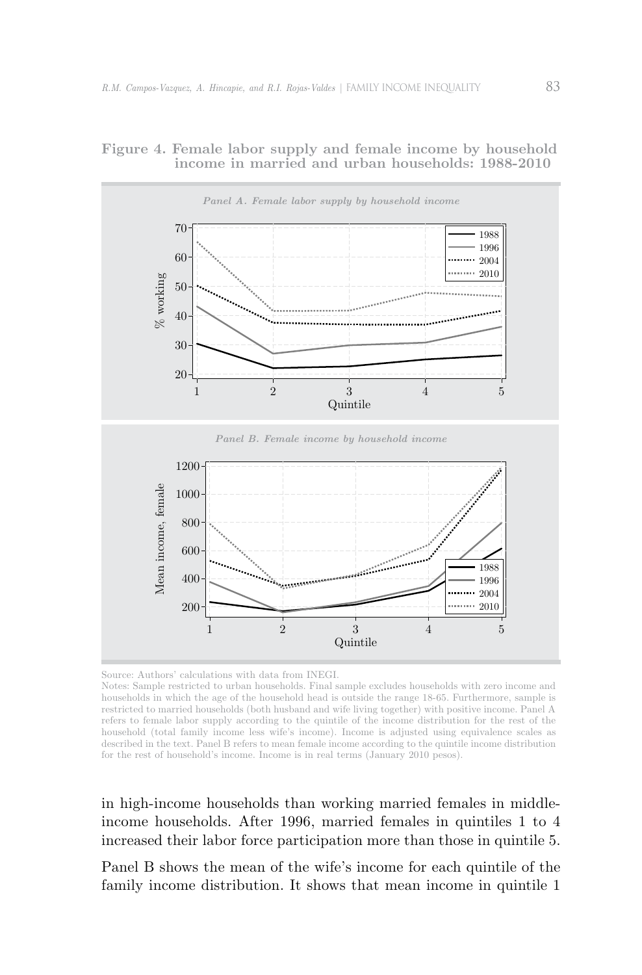

### **Figure 4. Female labor supply and female income by household income in married and urban households: 1988-2010**

Source: Authors' calculations with data from INEGI.

Notes: Sample restricted to urban households. Final sample excludes households with zero income and households in which the age of the household head is outside the range 18-65. Furthermore, sample is restricted to married households (both husband and wife living together) with positive income. Panel A refers to female labor supply according to the quintile of the income distribution for the rest of the household (total family income less wife's income). Income is adjusted using equivalence scales as described in the text. Panel B refers to mean female income according to the quintile income distribution for the rest of household's income. Income is in real terms (January 2010 pesos).

in high-income households than working married females in middleincome households. After 1996, married females in quintiles 1 to 4 increased their labor force participation more than those in quintile 5.

Panel B shows the mean of the wife's income for each quintile of the family income distribution. It shows that mean income in quintile 1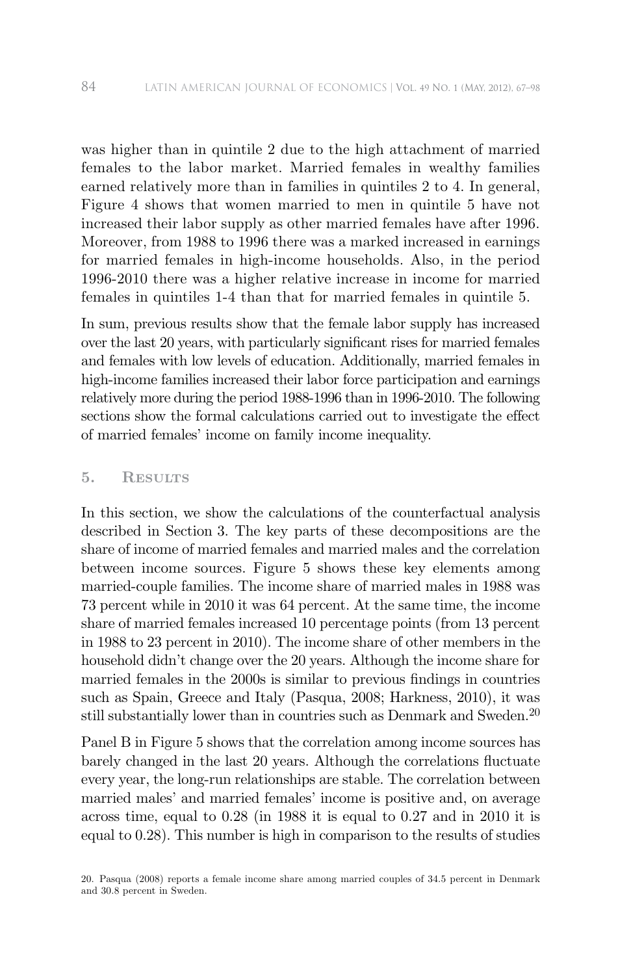was higher than in quintile 2 due to the high attachment of married females to the labor market. Married females in wealthy families earned relatively more than in families in quintiles 2 to 4. In general, Figure 4 shows that women married to men in quintile 5 have not increased their labor supply as other married females have after 1996. Moreover, from 1988 to 1996 there was a marked increased in earnings for married females in high-income households. Also, in the period 1996-2010 there was a higher relative increase in income for married females in quintiles 1-4 than that for married females in quintile 5.

In sum, previous results show that the female labor supply has increased over the last 20 years, with particularly significant rises for married females and females with low levels of education. Additionally, married females in high-income families increased their labor force participation and earnings relatively more during the period 1988-1996 than in 1996-2010. The following sections show the formal calculations carried out to investigate the effect of married females' income on family income inequality.

### **5. Results**

In this section, we show the calculations of the counterfactual analysis described in Section 3. The key parts of these decompositions are the share of income of married females and married males and the correlation between income sources. Figure 5 shows these key elements among married-couple families. The income share of married males in 1988 was 73 percent while in 2010 it was 64 percent. At the same time, the income share of married females increased 10 percentage points (from 13 percent in 1988 to 23 percent in 2010). The income share of other members in the household didn't change over the 20 years. Although the income share for married females in the 2000s is similar to previous findings in countries such as Spain, Greece and Italy (Pasqua, 2008; Harkness, 2010), it was still substantially lower than in countries such as Denmark and Sweden.<sup>20</sup>

Panel B in Figure 5 shows that the correlation among income sources has barely changed in the last 20 years. Although the correlations fluctuate every year, the long-run relationships are stable. The correlation between married males' and married females' income is positive and, on average across time, equal to 0.28 (in 1988 it is equal to 0.27 and in 2010 it is equal to 0.28). This number is high in comparison to the results of studies

<sup>20.</sup> Pasqua (2008) reports a female income share among married couples of 34.5 percent in Denmark and 30.8 percent in Sweden.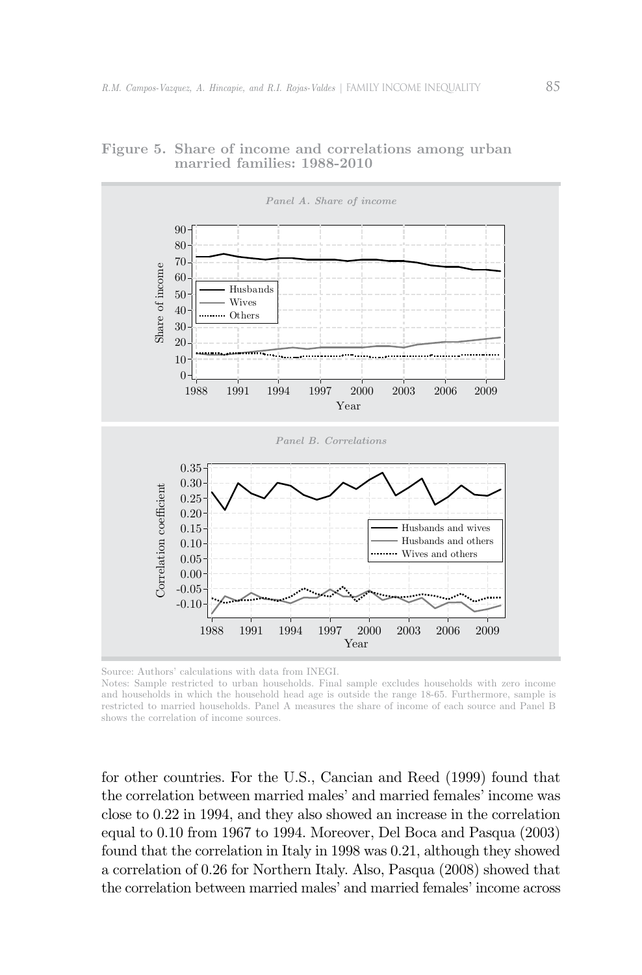



Source: Authors' calculations with data from INEGI.

Notes: Sample restricted to urban households. Final sample excludes households with zero income and households in which the household head age is outside the range 18-65. Furthermore, sample is restricted to married households. Panel A measures the share of income of each source and Panel B shows the correlation of income sources.

for other countries. For the U.S., Cancian and Reed (1999) found that the correlation between married males' and married females' income was close to 0.22 in 1994, and they also showed an increase in the correlation equal to 0.10 from 1967 to 1994. Moreover, Del Boca and Pasqua (2003) found that the correlation in Italy in 1998 was 0.21, although they showed a correlation of 0.26 for Northern Italy. Also, Pasqua (2008) showed that the correlation between married males' and married females' income across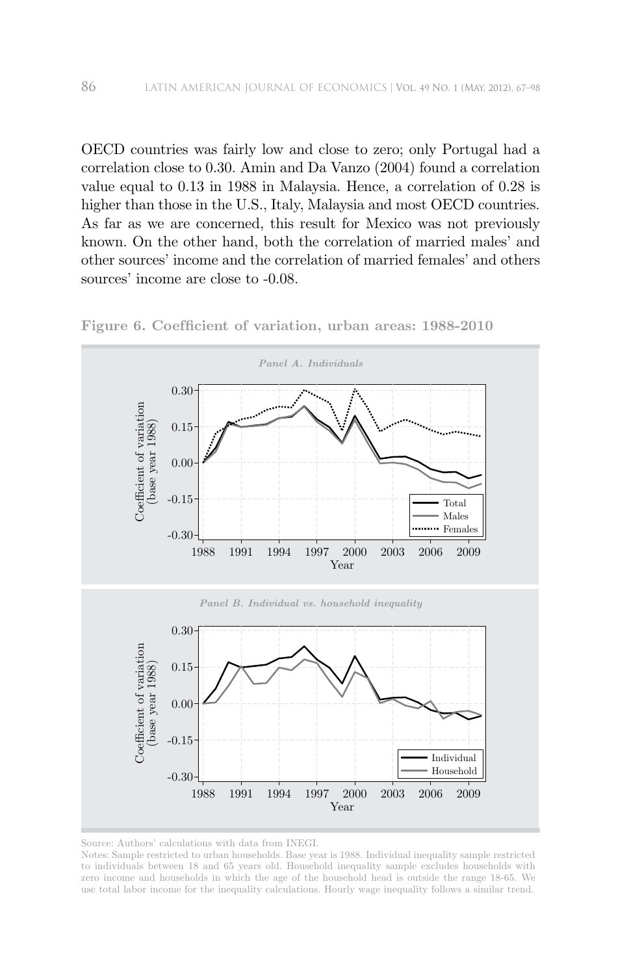OECD countries was fairly low and close to zero; only Portugal had a correlation close to 0.30. Amin and Da Vanzo (2004) found a correlation value equal to 0.13 in 1988 in Malaysia. Hence, a correlation of 0.28 is higher than those in the U.S., Italy, Malaysia and most OECD countries. As far as we are concerned, this result for Mexico was not previously known. On the other hand, both the correlation of married males' and other sources' income and the correlation of married females' and others sources' income are close to -0.08.





Notes: Sample restricted to urban households. Base year is 1988. Individual inequality sample restricted to individuals between 18 and 65 years old. Household inequality sample excludes households with zero income and households in which the age of the household head is outside the range 18-65. We use total labor income for the inequality calculations. Hourly wage inequality follows a similar trend.

Source: Authors' calculations with data from INEGI.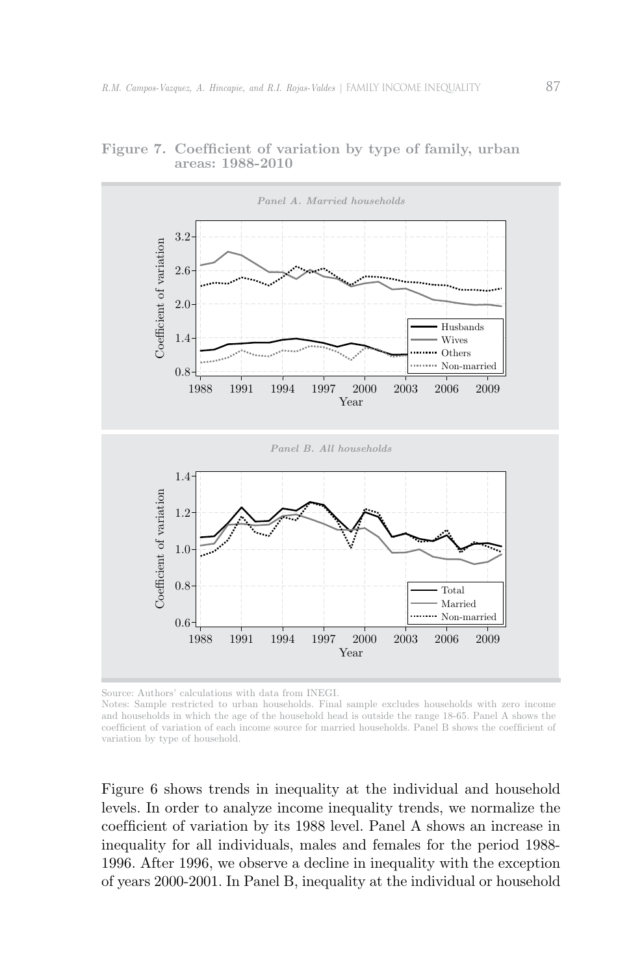

Figure 7. Coefficient of variation by type of family, urban **areas: 1988-2010**

Source: Authors' calculations with data from INEGI.

Notes: Sample restricted to urban households. Final sample excludes households with zero income and households in which the age of the household head is outside the range 18-65. Panel A shows the coefficient of variation of each income source for married households. Panel B shows the coefficient of variation by type of household.

Figure 6 shows trends in inequality at the individual and household levels. In order to analyze income inequality trends, we normalize the coefficient of variation by its 1988 level. Panel A shows an increase in inequality for all individuals, males and females for the period 1988- 1996. After 1996, we observe a decline in inequality with the exception of years 2000-2001. In Panel B, inequality at the individual or household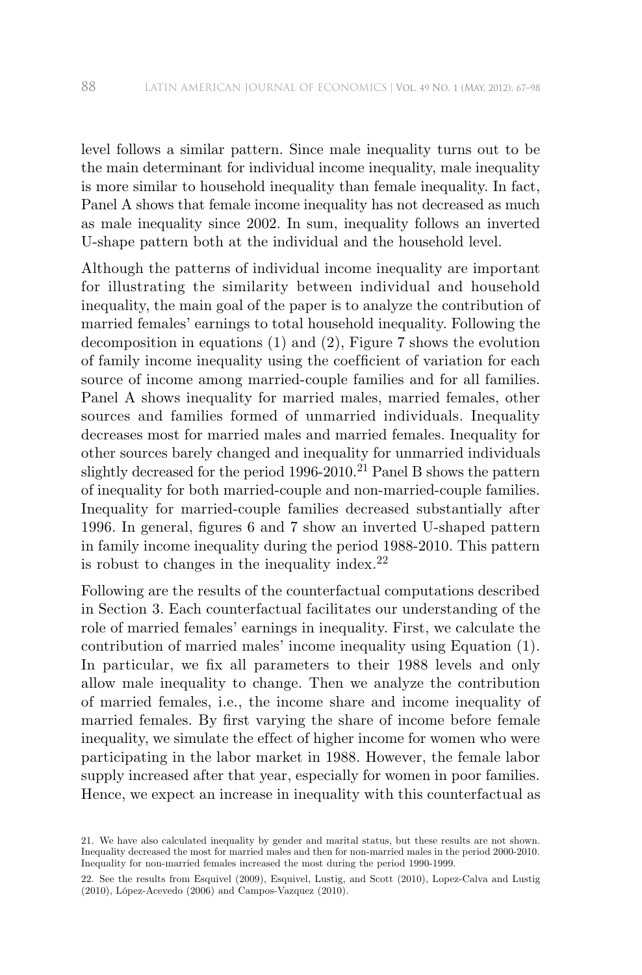level follows a similar pattern. Since male inequality turns out to be the main determinant for individual income inequality, male inequality is more similar to household inequality than female inequality. In fact, Panel A shows that female income inequality has not decreased as much as male inequality since 2002. In sum, inequality follows an inverted U-shape pattern both at the individual and the household level.

Although the patterns of individual income inequality are important for illustrating the similarity between individual and household inequality, the main goal of the paper is to analyze the contribution of married females' earnings to total household inequality. Following the decomposition in equations (1) and (2), Figure 7 shows the evolution of family income inequality using the coef ficient of variation for each source of income among married-couple families and for all families. Panel A shows inequality for married males, married females, other sources and families formed of unmarried individuals. Inequality decreases most for married males and married females. Inequality for other sources barely changed and inequality for unmarried individuals slightly decreased for the period 1996-2010.<sup>21</sup> Panel B shows the pattern of inequality for both married-couple and non-married-couple families. Inequality for married-couple families decreased substantially after 1996. In general, figures 6 and 7 show an inverted U-shaped pattern in family income inequality during the period 1988-2010. This pattern is robust to changes in the inequality index.<sup>22</sup>

Following are the results of the counterfactual computations described in Section 3. Each counterfactual facilitates our understanding of the role of married females' earnings in inequality. First, we calculate the contribution of married males' income inequality using Equation (1). In particular, we fix all parameters to their 1988 levels and only allow male inequality to change. Then we analyze the contribution of married females, i.e., the income share and income inequality of married females. By first varying the share of income before female inequality, we simulate the effect of higher income for women who were participating in the labor market in 1988. However, the female labor supply increased after that year, especially for women in poor families. Hence, we expect an increase in inequality with this counterfactual as

<sup>21.</sup> We have also calculated inequality by gender and marital status, but these results are not shown. Inequality decreased the most for married males and then for non-married males in the period 2000-2010. Inequality for non-married females increased the most during the period 1990-1999.

<sup>22.</sup> See the results from Esquivel (2009), Esquivel, Lustig, and Scott (2010), Lopez-Calva and Lustig (2010), López-Acevedo (2006) and Campos-Vazquez (2010).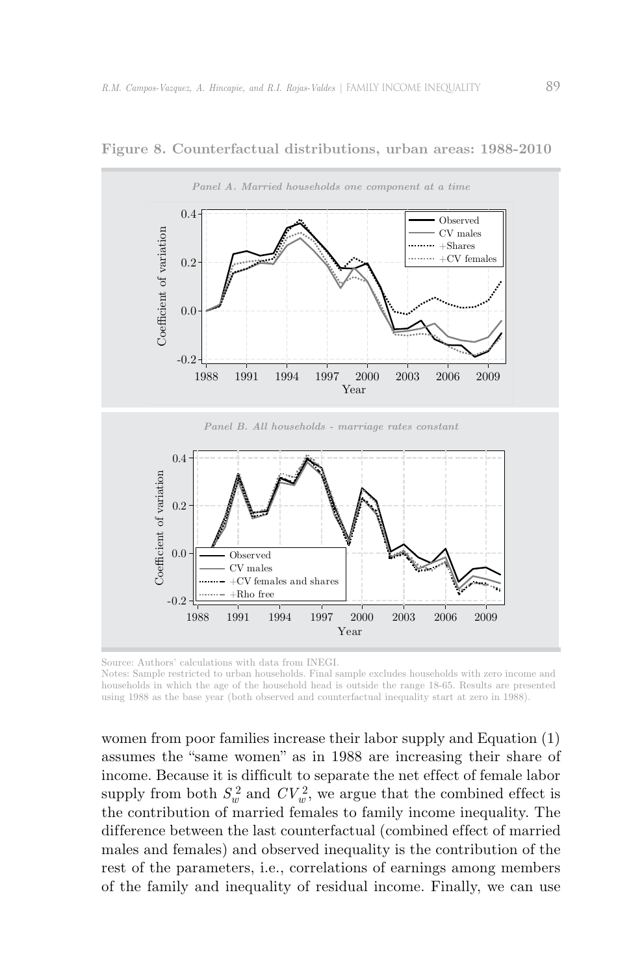

**Figure 8. Counterfactual distributions, urban areas: 1988-2010**

Source: Authors' calculations with data from INEGI.

Notes: Sample restricted to urban households. Final sample excludes households with zero income and households in which the age of the household head is outside the range 18-65. Results are presented using 1988 as the base year (both observed and counterfactual inequality start at zero in 1988).

women from poor families increase their labor supply and Equation (1) assumes the "same women" as in 1988 are increasing their share of income. Because it is difficult to separate the net effect of female labor supply from both  $S_w^2$  and  $CV_w^2$ , we argue that the combined effect is the contribution of married females to family income inequality. The difference between the last counterfactual (combined effect of married males and females) and observed inequality is the contribution of the rest of the parameters, i.e., correlations of earnings among members of the family and inequality of residual income. Finally, we can use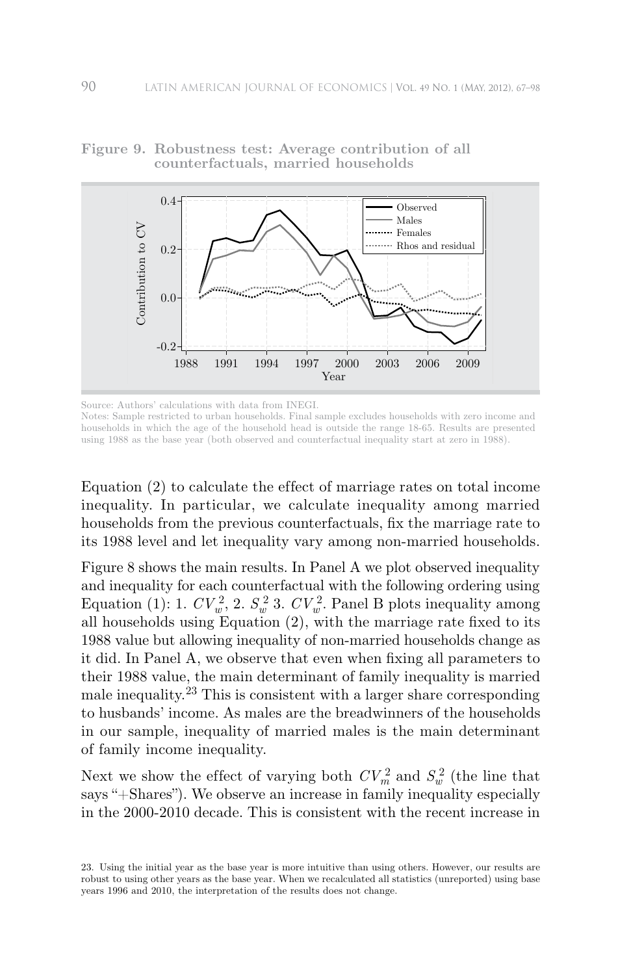

**Figure 9. Robustness test: Average contribution of all counterfactuals, married households**

Source: Authors' calculations with data from INEGI.

Notes: Sample restricted to urban households. Final sample excludes households with zero income and households in which the age of the household head is outside the range 18-65. Results are presented using 1988 as the base year (both observed and counterfactual inequality start at zero in 1988).

Equation (2) to calculate the effect of marriage rates on total income inequality. In particular, we calculate inequality among married households from the previous counterfactuals, fix the marriage rate to its 1988 level and let inequality vary among non-married households.

Figure 8 shows the main results. In Panel A we plot observed inequality and inequality for each counterfactual with the following ordering using Equation (1): 1.  $CV_w^2$ , 2.  $S_w^2$  3.  $CV_w^2$ . Panel B plots inequality among all households using Equation (2), with the marriage rate fixed to its 1988 value but allowing inequality of non-married households change as it did. In Panel A, we observe that even when fixing all parameters to their 1988 value, the main determinant of family inequality is married male inequality.23 This is consistent with a larger share corresponding to husbands' income. As males are the breadwinners of the households in our sample, inequality of married males is the main determinant of family income inequality.

Next we show the effect of varying both  $CV_m^2$  and  $S_w^2$  (the line that says "+Shares"). We observe an increase in family inequality especially in the 2000-2010 decade. This is consistent with the recent increase in

<sup>23.</sup> Using the initial year as the base year is more intuitive than using others. However, our results are robust to using other years as the base year. When we recalculated all statistics (unreported) using base years 1996 and 2010, the interpretation of the results does not change.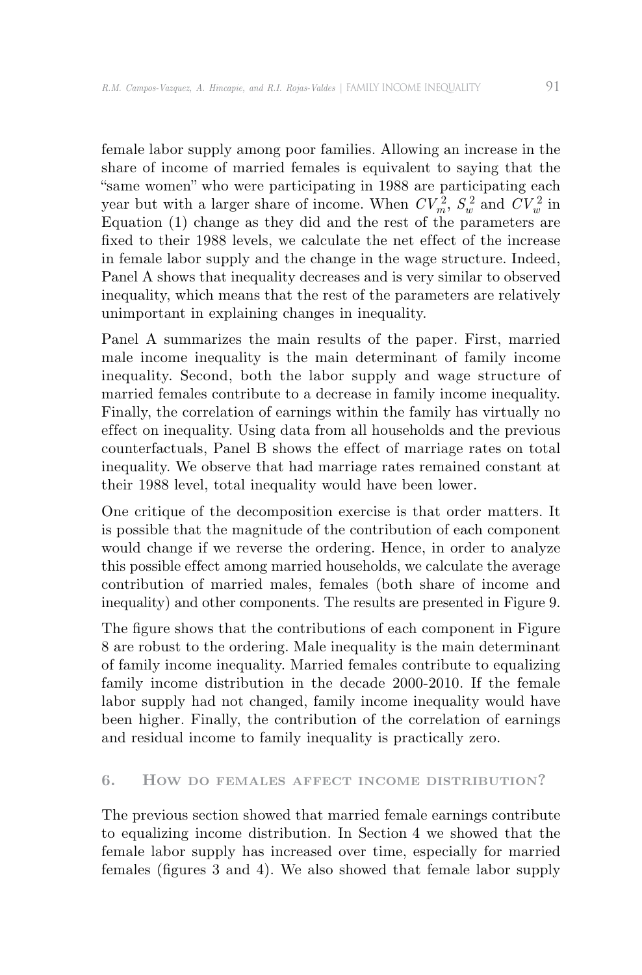female labor supply among poor families. Allowing an increase in the share of income of married females is equivalent to saying that the "same women" who were participating in 1988 are participating each year but with a larger share of income. When  $CV_m^2$ ,  $S_w^2$  and  $CV_w^2$  in Equation (1) change as they did and the rest of the parameters are fixed to their 1988 levels, we calculate the net effect of the increase in female labor supply and the change in the wage structure. Indeed, Panel A shows that inequality decreases and is very similar to observed inequality, which means that the rest of the parameters are relatively unimportant in explaining changes in inequality.

Panel A summarizes the main results of the paper. First, married male income inequality is the main determinant of family income inequality. Second, both the labor supply and wage structure of married females contribute to a decrease in family income inequality. Finally, the correlation of earnings within the family has virtually no effect on inequality. Using data from all households and the previous counterfactuals, Panel B shows the effect of marriage rates on total inequality. We observe that had marriage rates remained constant at their 1988 level, total inequality would have been lower.

One critique of the decomposition exercise is that order matters. It is possible that the magnitude of the contribution of each component would change if we reverse the ordering. Hence, in order to analyze this possible effect among married households, we calculate the average contribution of married males, females (both share of income and inequality) and other components. The results are presented in Figure 9.

The figure shows that the contributions of each component in Figure 8 are robust to the ordering. Male inequality is the main determinant of family income inequality. Married females contribute to equalizing family income distribution in the decade 2000-2010. If the female labor supply had not changed, family income inequality would have been higher. Finally, the contribution of the correlation of earnings and residual income to family inequality is practically zero.

### **6. How do FEMALES AFFECT INCOME DISTRIBUTION?**

The previous section showed that married female earnings contribute to equalizing income distribution. In Section 4 we showed that the female labor supply has increased over time, especially for married females (figures 3 and 4). We also showed that female labor supply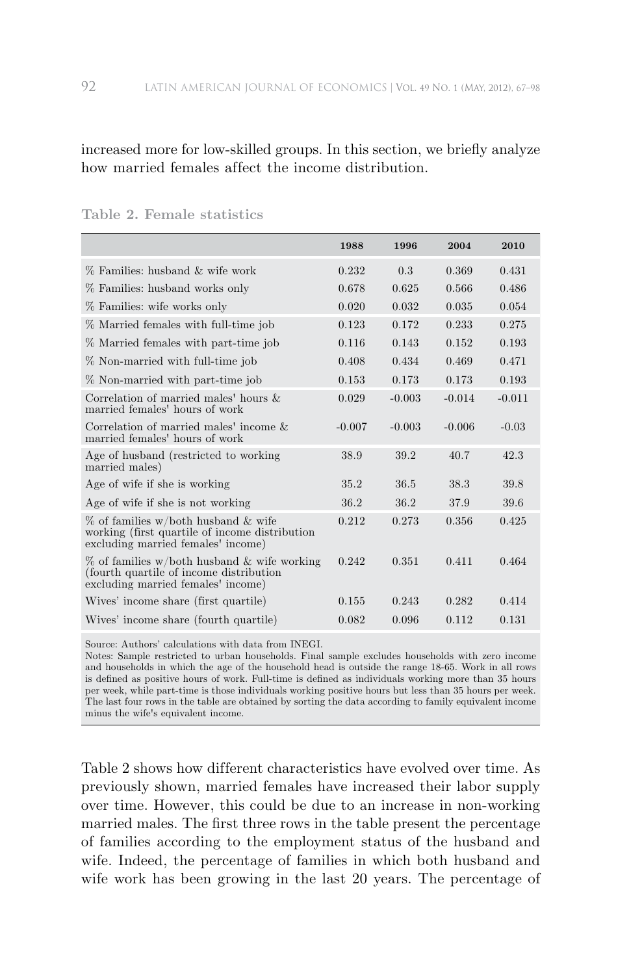increased more for low-skilled groups. In this section, we briefly analyze how married females affect the income distribution.

|                                                                                                                               | 1988     | 1996     | 2004     | 2010     |
|-------------------------------------------------------------------------------------------------------------------------------|----------|----------|----------|----------|
| % Families: husband & wife work                                                                                               | 0.232    | 0.3      | 0.369    | 0.431    |
| % Families: husband works only                                                                                                | 0.678    | 0.625    | 0.566    | 0.486    |
| % Families: wife works only                                                                                                   | 0.020    | 0.032    | 0.035    | 0.054    |
| % Married females with full-time job                                                                                          | 0.123    | 0.172    | 0.233    | 0.275    |
| % Married females with part-time job                                                                                          | 0.116    | 0.143    | 0.152    | 0.193    |
| % Non-married with full-time job                                                                                              | 0.408    | 0.434    | 0.469    | 0.471    |
| % Non-married with part-time job                                                                                              | 0.153    | 0.173    | 0.173    | 0.193    |
| Correlation of married males' hours $\&$<br>married females' hours of work                                                    | 0.029    | $-0.003$ | $-0.014$ | $-0.011$ |
| Correlation of married males' income &<br>married females' hours of work                                                      | $-0.007$ | $-0.003$ | $-0.006$ | $-0.03$  |
| Age of husband (restricted to working)<br>married males)                                                                      | 38.9     | 39.2     | 40.7     | 42.3     |
| Age of wife if she is working                                                                                                 | 35.2     | 36.5     | 38.3     | 39.8     |
| Age of wife if she is not working                                                                                             | 36.2     | 36.2     | 37.9     | 39.6     |
| % of families w/both husband & wife<br>working (first quartile of income distribution<br>excluding married females' income)   | 0.212    | 0.273    | 0.356    | 0.425    |
| % of families w/both husband & wife working<br>(fourth quartile of income distribution)<br>excluding married females' income) | 0.242    | 0.351    | 0.411    | 0.464    |
| Wives' income share (first quartile)                                                                                          | 0.155    | 0.243    | 0.282    | 0.414    |
| Wives' income share (fourth quartile)                                                                                         | 0.082    | 0.096    | 0.112    | 0.131    |

Source: Authors' calculations with data from INEGI.

Notes: Sample restricted to urban households. Final sample excludes households with zero income and households in which the age of the household head is outside the range 18-65. Work in all rows is defined as positive hours of work. Full-time is defined as individuals working more than 35 hours per week, while part-time is those individuals working positive hours but less than 35 hours per week. The last four rows in the table are obtained by sorting the data according to family equivalent income minus the wife's equivalent income.

Table 2 shows how different characteristics have evolved over time. As previously shown, married females have increased their labor supply over time. However, this could be due to an increase in non-working married males. The first three rows in the table present the percentage of families according to the employment status of the husband and wife. Indeed, the percentage of families in which both husband and wife work has been growing in the last 20 years. The percentage of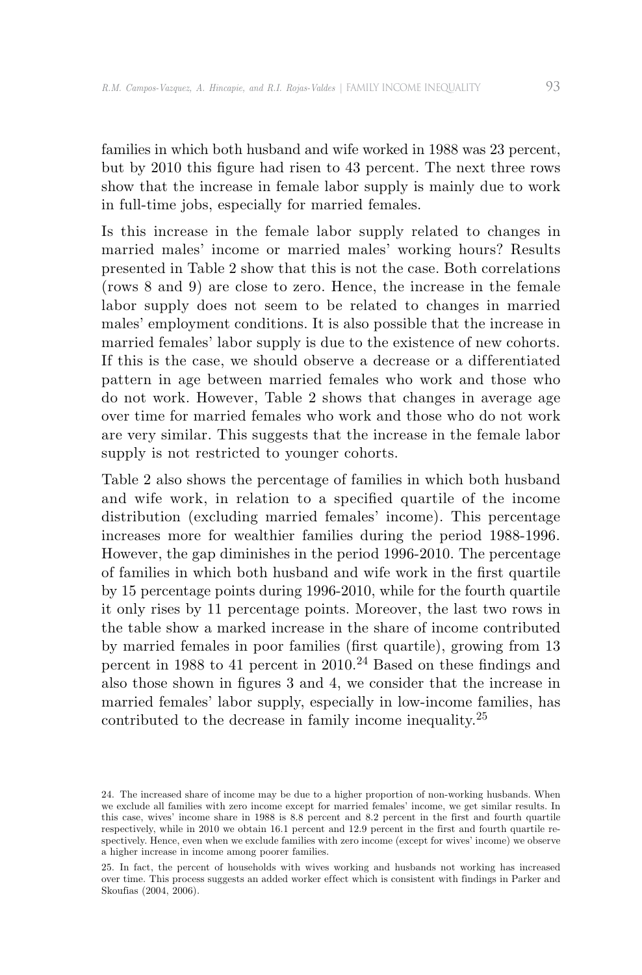families in which both husband and wife worked in 1988 was 23 percent, but by 2010 this figure had risen to 43 percent. The next three rows show that the increase in female labor supply is mainly due to work in full-time jobs, especially for married females.

Is this increase in the female labor supply related to changes in married males' income or married males' working hours? Results presented in Table 2 show that this is not the case. Both correlations (rows 8 and 9) are close to zero. Hence, the increase in the female labor supply does not seem to be related to changes in married males' employment conditions. It is also possible that the increase in married females' labor supply is due to the existence of new cohorts. If this is the case, we should observe a decrease or a differentiated pattern in age between married females who work and those who do not work. However, Table 2 shows that changes in average age over time for married females who work and those who do not work are very similar. This suggests that the increase in the female labor supply is not restricted to younger cohorts.

Table 2 also shows the percentage of families in which both husband and wife work, in relation to a specified quartile of the income distribution (excluding married females' income). This percentage increases more for wealthier families during the period 1988-1996. However, the gap diminishes in the period 1996-2010. The percentage of families in which both husband and wife work in the first quartile by 15 percentage points during 1996-2010, while for the fourth quartile it only rises by 11 percentage points. Moreover, the last two rows in the table show a marked increase in the share of income contributed by married females in poor families (first quartile), growing from 13 percent in 1988 to 41 percent in  $2010^{24}$  Based on these findings and also those shown in figures 3 and 4, we consider that the increase in married females' labor supply, especially in low-income families, has contributed to the decrease in family income inequality.<sup>25</sup>

<sup>24.</sup> The increased share of income may be due to a higher proportion of non-working husbands. When we exclude all families with zero income except for married females' income, we get similar results. In this case, wives' income share in 1988 is 8.8 percent and 8.2 percent in the first and fourth quartile respectively, while in 2010 we obtain 16.1 percent and 12.9 percent in the first and fourth quartile respectively. Hence, even when we exclude families with zero income (except for wives' income) we observe a higher increase in income among poorer families.

<sup>25.</sup> In fact, the percent of households with wives working and husbands not working has increased over time. This process suggests an added worker effect which is consistent with findings in Parker and Skoufias (2004, 2006).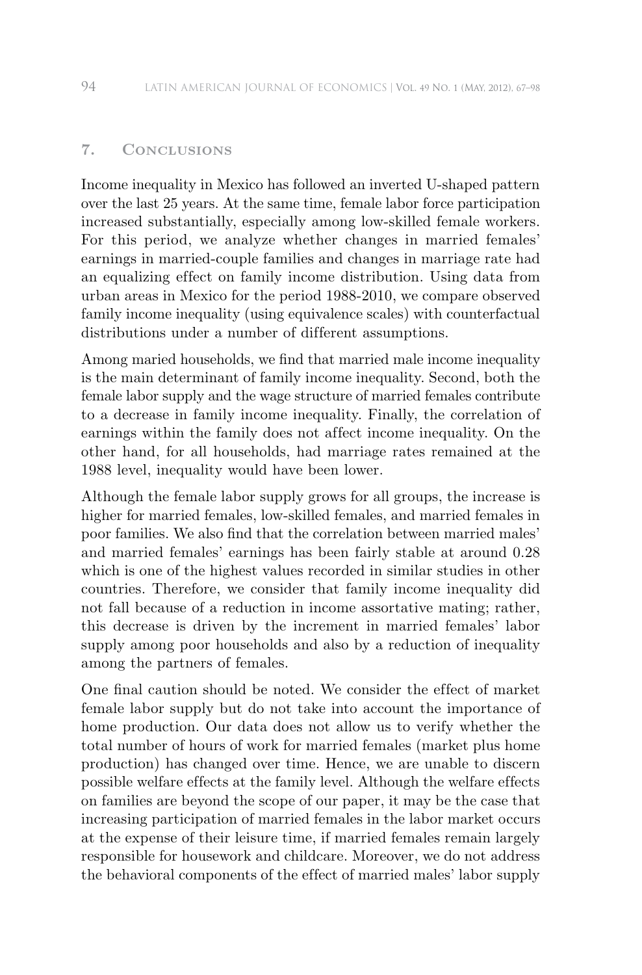# **7. Conclusions**

Income inequality in Mexico has followed an inverted U-shaped pattern over the last 25 years. At the same time, female labor force participation increased substantially, especially among low-skilled female workers. For this period, we analyze whether changes in married females' earnings in married-couple families and changes in marriage rate had an equalizing effect on family income distribution. Using data from urban areas in Mexico for the period 1988-2010, we compare observed family income inequality (using equivalence scales) with counterfactual distributions under a number of different assumptions.

Among maried households, we find that married male income inequality is the main determinant of family income inequality. Second, both the female labor supply and the wage structure of married females contribute to a decrease in family income inequality. Finally, the correlation of earnings within the family does not affect income inequality. On the other hand, for all households, had marriage rates remained at the 1988 level, inequality would have been lower.

Although the female labor supply grows for all groups, the increase is higher for married females, low-skilled females, and married females in poor families. We also find that the correlation between married males' and married females' earnings has been fairly stable at around 0.28 which is one of the highest values recorded in similar studies in other countries. Therefore, we consider that family income inequality did not fall because of a reduction in income assortative mating; rather, this decrease is driven by the increment in married females' labor supply among poor households and also by a reduction of inequality among the partners of females.

One final caution should be noted. We consider the effect of market female labor supply but do not take into account the importance of home production. Our data does not allow us to verify whether the total number of hours of work for married females (market plus home production) has changed over time. Hence, we are unable to discern possible welfare effects at the family level. Although the welfare effects on families are beyond the scope of our paper, it may be the case that increasing participation of married females in the labor market occurs at the expense of their leisure time, if married females remain largely responsible for housework and childcare. Moreover, we do not address the behavioral components of the effect of married males' labor supply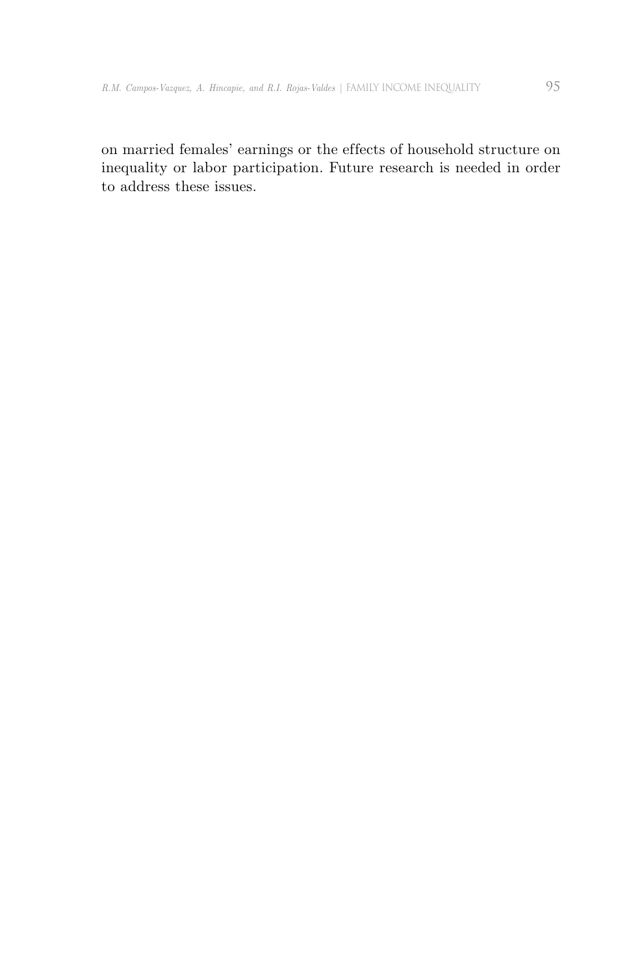on married females' earnings or the effects of household structure on inequality or labor participation. Future research is needed in order to address these issues.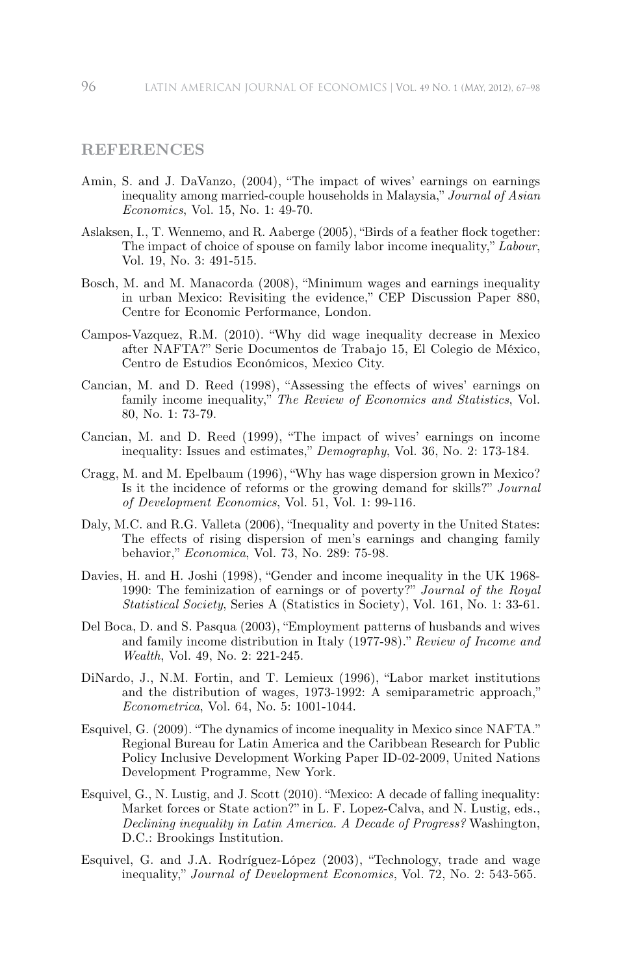# **REFERENCES**

- Amin, S. and J. DaVanzo, (2004), "The impact of wives' earnings on earnings inequality among married-couple households in Malaysia," *Journal of Asian Economics*, Vol. 15, No. 1: 49-70.
- Aslaksen, I., T. Wennemo, and R. Aaberge (2005), "Birds of a feather flock together: The impact of choice of spouse on family labor income inequality," *Labour*, Vol. 19, No. 3: 491-515.
- Bosch, M. and M. Manacorda (2008), "Minimum wages and earnings inequality in urban Mexico: Revisiting the evidence," CEP Discussion Paper 880, Centre for Economic Performance, London.
- Campos-Vazquez, R.M. (2010). "Why did wage inequality decrease in Mexico after NAFTA?" Serie Documentos de Trabajo 15, El Colegio de México, Centro de Estudios Económicos, Mexico City.
- Cancian, M. and D. Reed (1998), "Assessing the effects of wives' earnings on family income inequality," *The Review of Economics and Statistics*, Vol. 80, No. 1: 73-79.
- Cancian, M. and D. Reed (1999), "The impact of wives' earnings on income inequality: Issues and estimates," *Demography*, Vol. 36, No. 2: 173-184.
- Cragg, M. and M. Epelbaum (1996), "Why has wage dispersion grown in Mexico? Is it the incidence of reforms or the growing demand for skills?" *Journal of Development Economics*, Vol. 51, Vol. 1: 99-116.
- Daly, M.C. and R.G. Valleta (2006), "Inequality and poverty in the United States: The effects of rising dispersion of men's earnings and changing family behavior," *Economica*, Vol. 73, No. 289: 75-98.
- Davies, H. and H. Joshi (1998), "Gender and income inequality in the UK 1968- 1990: The feminization of earnings or of poverty?" *Journal of the Royal Statistical Society*, Series A (Statistics in Society), Vol. 161, No. 1: 33-61.
- Del Boca, D. and S. Pasqua (2003), "Employment patterns of husbands and wives and family income distribution in Italy (1977-98)." *Review of Income and Wealth*, Vol. 49, No. 2: 221-245.
- DiNardo, J., N.M. Fortin, and T. Lemieux (1996), "Labor market institutions and the distribution of wages, 1973-1992: A semiparametric approach," *Econometrica*, Vol. 64, No. 5: 1001-1044.
- Esquivel, G. (2009). "The dynamics of income inequality in Mexico since NAFTA." Regional Bureau for Latin America and the Caribbean Research for Public Policy Inclusive Development Working Paper ID-02-2009, United Nations Development Programme, New York.
- Esquivel, G., N. Lustig, and J. Scott (2010). "Mexico: A decade of falling inequality: Market forces or State action?" in L. F. Lopez-Calva, and N. Lustig, eds., *Declining inequality in Latin America. A Decade of Progress?* Washington, D.C.: Brookings Institution.
- Esquivel, G. and J.A. Rodríguez-López (2003), "Technology, trade and wage inequality," *Journal of Development Economics*, Vol. 72, No. 2: 543-565.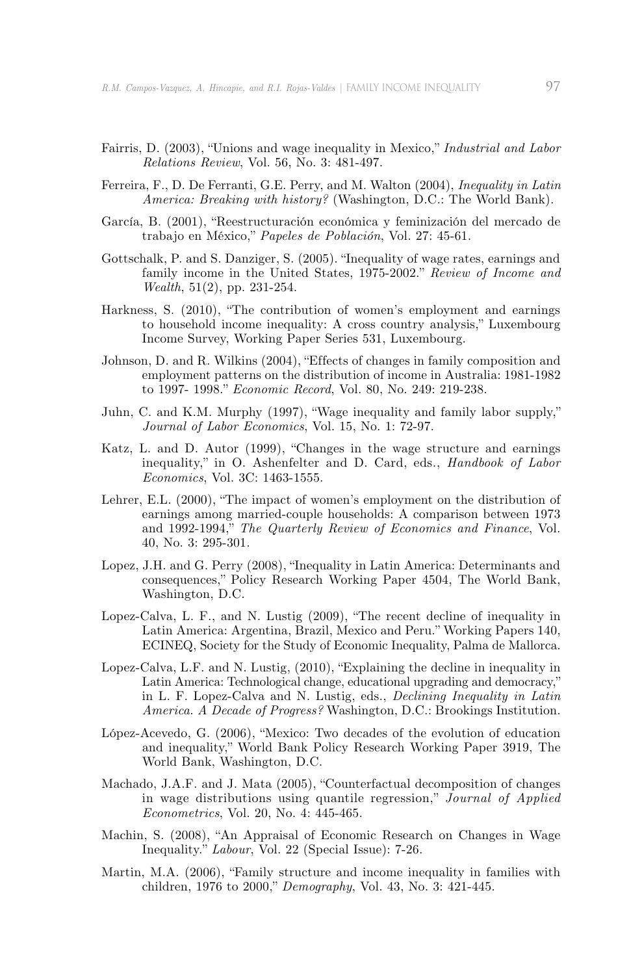- Fairris, D. (2003), "Unions and wage inequality in Mexico," *Industrial and Labor Relations Review*, Vol. 56, No. 3: 481-497.
- Ferreira, F., D. De Ferranti, G.E. Perry, and M. Walton (2004), *Inequality in Latin America: Breaking with history?* (Washington, D.C.: The World Bank).
- García, B. (2001), "Reestructuración económica y feminización del mercado de trabajo en México," *Papeles de Población*, Vol. 27: 45-61.
- Gottschalk, P. and S. Danziger, S. (2005). "Inequality of wage rates, earnings and family income in the United States, 1975-2002." *Review of Income and Wealth*, 51(2), pp. 231-254.
- Harkness, S. (2010), "The contribution of women's employment and earnings to household income inequality: A cross country analysis," Luxembourg Income Survey, Working Paper Series 531, Luxembourg.
- Johnson, D. and R. Wilkins (2004), "Effects of changes in family composition and employment patterns on the distribution of income in Australia: 1981-1982 to 1997- 1998." *Economic Record*, Vol. 80, No. 249: 219-238.
- Juhn, C. and K.M. Murphy (1997), "Wage inequality and family labor supply," *Journal of Labor Economics*, Vol. 15, No. 1: 72-97.
- Katz, L. and D. Autor (1999), "Changes in the wage structure and earnings inequality," in O. Ashenfelter and D. Card, eds., *Handbook of Labor Economics*, Vol. 3C: 1463-1555.
- Lehrer, E.L. (2000), "The impact of women's employment on the distribution of earnings among married-couple households: A comparison between 1973 and 1992-1994," *The Quarterly Review of Economics and Finance*, Vol. 40, No. 3: 295-301.
- Lopez, J.H. and G. Perry (2008), "Inequality in Latin America: Determinants and consequences," Policy Research Working Paper 4504, The World Bank, Washington, D.C.
- Lopez-Calva, L. F., and N. Lustig (2009), "The recent decline of inequality in Latin America: Argentina, Brazil, Mexico and Peru." Working Papers 140, ECINEQ, Society for the Study of Economic Inequality, Palma de Mallorca.
- Lopez-Calva, L.F. and N. Lustig, (2010), "Explaining the decline in inequality in Latin America: Technological change, educational upgrading and democracy," in L. F. Lopez-Calva and N. Lustig, eds., *Declining Inequality in Latin America. A Decade of Progress?* Washington, D.C.: Brookings Institution.
- López-Acevedo, G. (2006), "Mexico: Two decades of the evolution of education and inequality," World Bank Policy Research Working Paper 3919, The World Bank, Washington, D.C.
- Machado, J.A.F. and J. Mata (2005), "Counterfactual decomposition of changes in wage distributions using quantile regression," *Journal of Applied Econometrics*, Vol. 20, No. 4: 445-465.
- Machin, S. (2008), "An Appraisal of Economic Research on Changes in Wage Inequality." *Labour*, Vol. 22 (Special Issue): 7-26.
- Martin, M.A. (2006), "Family structure and income inequality in families with children, 1976 to 2000," *Demography*, Vol. 43, No. 3: 421-445.